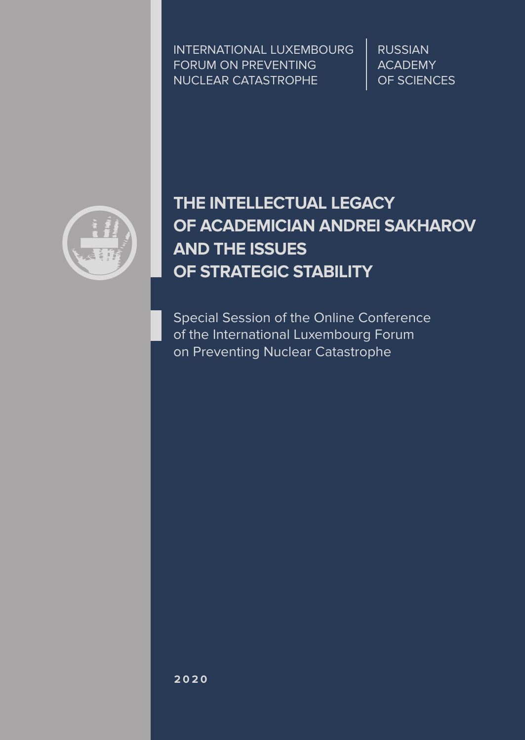INTERNATIONAL LUXEMBOURG FORUM ON PREVENTING NUCLEAR CATASTROPHE

RUSSIAN ACADEMY OF SCIENCES



# **THE INTELLECTUAL LEGACY OF ACADEMICIAN ANDREI SAKHAROV AND THE ISSUES OF STRATEGIC STABILITY**

Special Session of the Online Conference of the International Luxembourg Forum on Preventing Nuclear Catastrophe

**2020**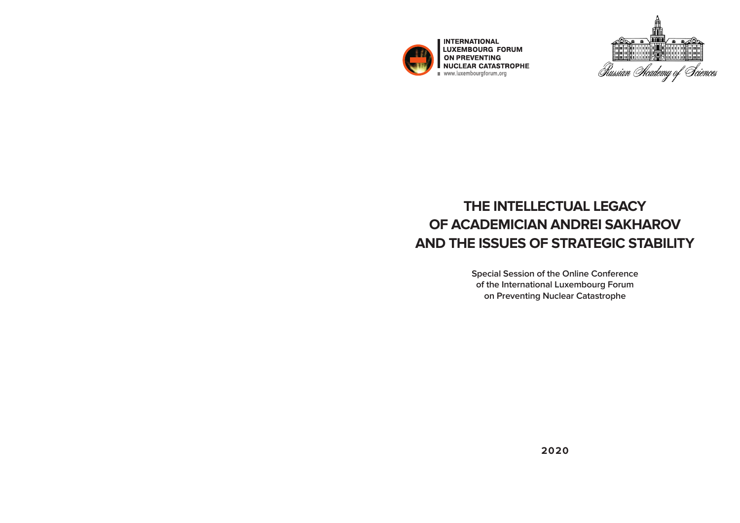

**INTERNATIONAL** LUXEMBOURG FORUM ON PREVENTING NUCLEAR CATASTROPHE



# **THE INTELLECTUAL LEGACY OF ACADEMICIAN ANDREI SAKHAROV AND THE ISSUES OF STRATEGIC STABILITY**

**Special Session of the Online Conference of the International Luxembourg Forum on Preventing Nuclear Catastrophe**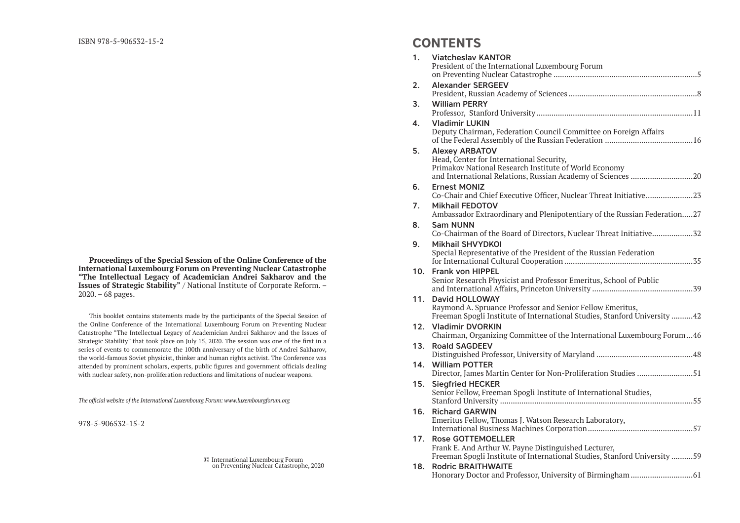**Proceedings of the Special Session of the Online Conference of the International Luxembourg Forum on Preventing Nuclear Catastrophe "The Intellectual Legacy of Academician Andrei Sakharov and the Issues of Strategic Stability"** / National Institute of Corporate Reform. – 2020. – 68 pages.

This booklet contains statements made by the participants of the Special Session of the Online Conference of the International Luxembourg Forum on Preventing Nuclear Catastrophe "The Intellectual Legacy of Academician Andrei Sakharov and the Issues of Strategic Stability" that took place on July 15, 2020. The session was one of the first in a series of events to commemorate the 100th anniversary of the birth of Andrei Sakharov, the world-famous Soviet physicist, thinker and human rights activist. The Conference was attended by prominent scholars, experts, public figures and government officials dealing with nuclear safety, non-proliferation reductions and limitations of nuclear weapons.

*The official website of the International Luxembourg Forum: www.luxembourgforum.org*

978-5-906532-15-2

© International Luxembourg Forum on Preventing Nuclear Catastrophe, 2020

### **CONTENTS**

| 1.  | <b>Viatcheslay KANTOR</b><br>President of the International Luxembourg Forum                                                                                                              |
|-----|-------------------------------------------------------------------------------------------------------------------------------------------------------------------------------------------|
| 2.  | <b>Alexander SERGEEV</b>                                                                                                                                                                  |
| 3.  | <b>William PERRY</b>                                                                                                                                                                      |
| 4.  | <b>Vladimir LUKIN</b><br>Deputy Chairman, Federation Council Committee on Foreign Affairs                                                                                                 |
| 5.  | <b>Alexey ARBATOV</b><br>Head, Center for International Security,<br>Primakov National Research Institute of World Economy<br>and International Relations, Russian Academy of Sciences 20 |
| 6.  | <b>Ernest MONIZ</b><br>Co-Chair and Chief Executive Officer, Nuclear Threat Initiative23                                                                                                  |
| 7.  | <b>Mikhail FEDOTOV</b><br>Ambassador Extraordinary and Plenipotentiary of the Russian Federation27                                                                                        |
| 8.  | <b>Sam NUNN</b><br>Co-Chairman of the Board of Directors, Nuclear Threat Initiative32                                                                                                     |
| 9.  | <b>Mikhail SHVYDKOI</b><br>Special Representative of the President of the Russian Federation                                                                                              |
| 10. | <b>Frank von HIPPEL</b><br>Senior Research Physicist and Professor Emeritus, School of Public                                                                                             |
| 11. | <b>David HOLLOWAY</b><br>Raymond A. Spruance Professor and Senior Fellow Emeritus,<br>Freeman Spogli Institute of International Studies, Stanford University 42                           |
| 12. | <b>Vladimir DVORKIN</b><br>Chairman, Organizing Committee of the International Luxembourg Forum46                                                                                         |
| 13. | <b>Roald SAGDEEV</b>                                                                                                                                                                      |
| 14. | <b>William POTTER</b><br>Director, James Martin Center for Non-Proliferation Studies 51                                                                                                   |
| 15. | <b>Siegfried HECKER</b><br>Senior Fellow, Freeman Spogli Institute of International Studies,                                                                                              |
| 16. | <b>Richard GARWIN</b><br>Emeritus Fellow, Thomas J. Watson Research Laboratory,                                                                                                           |
| 17. | <b>Rose GOTTEMOELLER</b><br>Frank E. And Arthur W. Payne Distinguished Lecturer,                                                                                                          |
| 18. | Freeman Spogli Institute of International Studies, Stanford University 59<br><b>Rodric BRAITHWAITE</b>                                                                                    |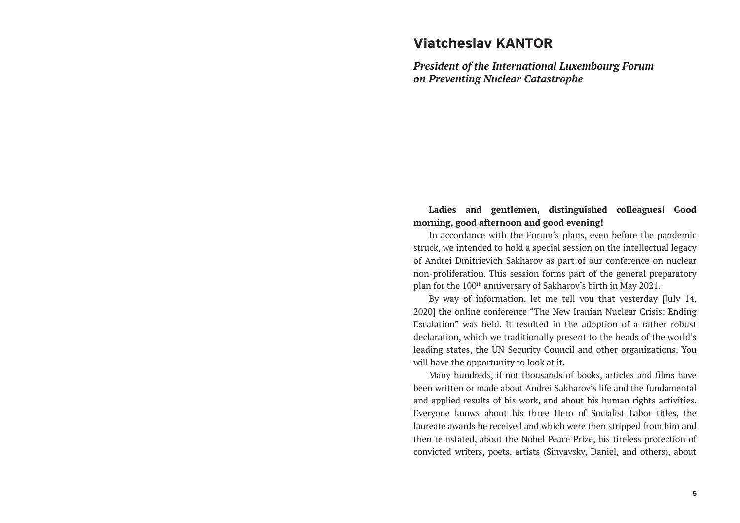## **Viatcheslav KANTOR**

*President of the International Luxembourg Forum on Preventing Nuclear Catastrophe*

**Ladies and gentlemen, distinguished colleagues! Good morning, good afternoon and good evening!**

In accordance with the Forum's plans, even before the pandemic struck, we intended to hold a special session on the intellectual legacy of Andrei Dmitrievich Sakharov as part of our conference on nuclear non-proliferation. This session forms part of the general preparatory plan for the 100th anniversary of Sakharov's birth in May 2021.

By way of information, let me tell you that yesterday [July 14, 2020] the online conference "The New Iranian Nuclear Crisis: Ending Escalation" was held. It resulted in the adoption of a rather robust declaration, which we traditionally present to the heads of the world's leading states, the UN Security Council and other organizations. You will have the opportunity to look at it.

Many hundreds, if not thousands of books, articles and films have been written or made about Andrei Sakharov's life and the fundamental and applied results of his work, and about his human rights activities. Everyone knows about his three Hero of Socialist Labor titles, the laureate awards he received and which were then stripped from him and then reinstated, about the Nobel Peace Prize, his tireless protection of convicted writers, poets, artists (Sinyavsky, Daniel, and others), about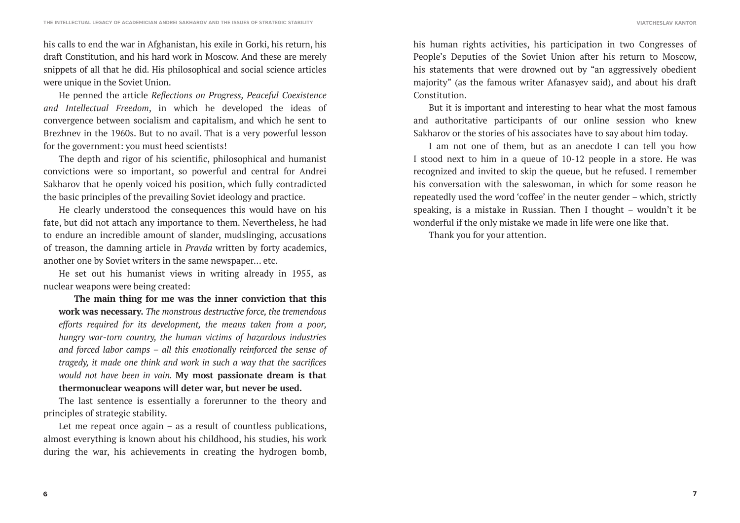his calls to end the war in Afghanistan, his exile in Gorki, his return, his draft Constitution, and his hard work in Moscow. And these are merely snippets of all that he did. His philosophical and social science articles were unique in the Soviet Union.

He penned the article *Reflections on Progress, Peaceful Coexistence and Intellectual Freedom*, in which he developed the ideas of convergence between socialism and capitalism, and which he sent to Brezhnev in the 1960s. But to no avail. That is a very powerful lesson for the government: you must heed scientists!

The depth and rigor of his scientific, philosophical and humanist convictions were so important, so powerful and central for Andrei Sakharov that he openly voiced his position, which fully contradicted the basic principles of the prevailing Soviet ideology and practice.

He clearly understood the consequences this would have on his fate, but did not attach any importance to them. Nevertheless, he had to endure an incredible amount of slander, mudslinging, accusations of treason, the damning article in *Pravda* written by forty academics, another one by Soviet writers in the same newspaper... etc.

He set out his humanist views in writing already in 1955, as nuclear weapons were being created:

**The main thing for me was the inner conviction that this work was necessary.** *The monstrous destructive force, the tremendous efforts required for its development, the means taken from a poor, hungry war-torn country, the human victims of hazardous industries and forced labor camps – all this emotionally reinforced the sense of tragedy, it made one think and work in such a way that the sacrifices would not have been in vain.* **My most passionate dream is that thermonuclear weapons will deter war, but never be used.**

The last sentence is essentially a forerunner to the theory and principles of strategic stability.

Let me repeat once again – as a result of countless publications, almost everything is known about his childhood, his studies, his work during the war, his achievements in creating the hydrogen bomb,

his human rights activities, his participation in two Congresses of People's Deputies of the Soviet Union after his return to Moscow, his statements that were drowned out by "an aggressively obedient majority" (as the famous writer Afanasyev said), and about his draft Constitution.

But it is important and interesting to hear what the most famous and authoritative participants of our online session who knew Sakharov or the stories of his associates have to say about him today.

I am not one of them, but as an anecdote I can tell you how I stood next to him in a queue of 10-12 people in a store. He was recognized and invited to skip the queue, but he refused. I remember his conversation with the saleswoman, in which for some reason he repeatedly used the word 'coffee' in the neuter gender – which, strictly speaking, is a mistake in Russian. Then I thought – wouldn't it be wonderful if the only mistake we made in life were one like that.

Thank you for your attention.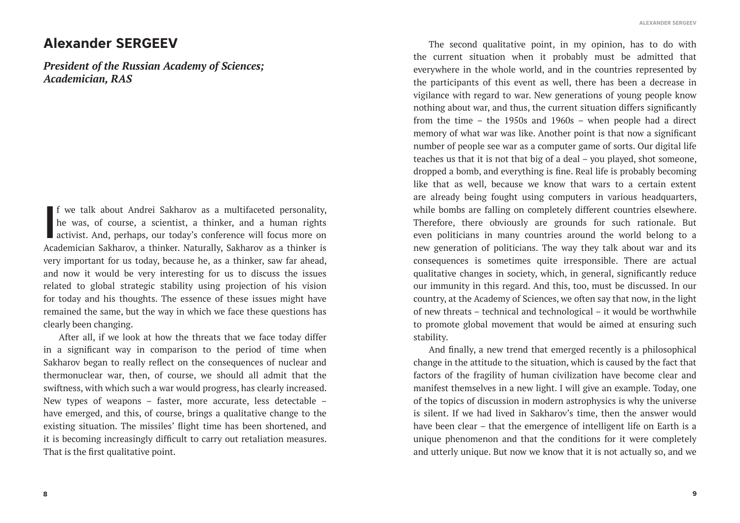## **Alexander SERGEEV**

*President of the Russian Academy of Sciences; Academician, RAS*

**I** f we talk about Andrei Sakharov as a multifaceted personality, he was, of course, a scientist, a thinker, and a human rights activist. And, perhaps, our today's conference will focus more on Academician Sakharov, a thinker. Naturally, Sakharov as a thinker is very important for us today, because he, as a thinker, saw far ahead, and now it would be very interesting for us to discuss the issues related to global strategic stability using projection of his vision for today and his thoughts. The essence of these issues might have remained the same, but the way in which we face these questions has clearly been changing.

After all, if we look at how the threats that we face today differ in a significant way in comparison to the period of time when Sakharov began to really reflect on the consequences of nuclear and thermonuclear war, then, of course, we should all admit that the swiftness, with which such a war would progress, has clearly increased. New types of weapons – faster, more accurate, less detectable – have emerged, and this, of course, brings a qualitative change to the existing situation. The missiles' flight time has been shortened, and it is becoming increasingly difficult to carry out retaliation measures. That is the first qualitative point.

The second qualitative point, in my opinion, has to do with the current situation when it probably must be admitted that everywhere in the whole world, and in the countries represented by the participants of this event as well, there has been a decrease in vigilance with regard to war. New generations of young people know nothing about war, and thus, the current situation differs significantly from the time – the 1950s and 1960s – when people had a direct memory of what war was like. Another point is that now a significant number of people see war as a computer game of sorts. Our digital life teaches us that it is not that big of a deal – you played, shot someone, dropped a bomb, and everything is fine. Real life is probably becoming like that as well, because we know that wars to a certain extent are already being fought using computers in various headquarters, while bombs are falling on completely different countries elsewhere. Therefore, there obviously are grounds for such rationale. But even politicians in many countries around the world belong to a new generation of politicians. The way they talk about war and its consequences is sometimes quite irresponsible. There are actual qualitative changes in society, which, in general, significantly reduce our immunity in this regard. And this, too, must be discussed. In our country, at the Academy of Sciences, we often say that now, in the light of new threats – technical and technological – it would be worthwhile to promote global movement that would be aimed at ensuring such stability.

And finally, a new trend that emerged recently is a philosophical change in the attitude to the situation, which is caused by the fact that factors of the fragility of human civilization have become clear and manifest themselves in a new light. I will give an example. Today, one of the topics of discussion in modern astrophysics is why the universe is silent. If we had lived in Sakharov's time, then the answer would have been clear – that the emergence of intelligent life on Earth is a unique phenomenon and that the conditions for it were completely and utterly unique. But now we know that it is not actually so, and we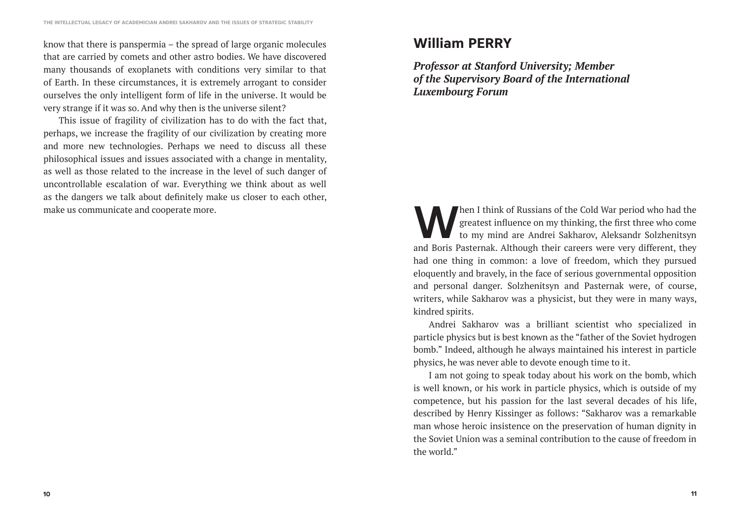know that there is panspermia – the spread of large organic molecules that are carried by comets and other astro bodies. We have discovered many thousands of exoplanets with conditions very similar to that of Earth. In these circumstances, it is extremely arrogant to consider ourselves the only intelligent form of life in the universe. It would be very strange if it was so. And why then is the universe silent?

This issue of fragility of civilization has to do with the fact that, perhaps, we increase the fragility of our civilization by creating more and more new technologies. Perhaps we need to discuss all these philosophical issues and issues associated with a change in mentality, as well as those related to the increase in the level of such danger of uncontrollable escalation of war. Everything we think about as well as the dangers we talk about definitely make us closer to each other, make us communicate and cooperate more.

# **William PERRY**

*Professor at Stanford University; Member of the Supervisory Board of the International Luxembourg Forum*

The I think of Russians of the Cold War period who had the greatest influence on my thinking, the first three who come to my mind are Andrei Sakharov, Aleksandr Solzhenitsyn greatest influence on my thinking, the first three who come to my mind are Andrei Sakharov, Aleksandr Solzhenitsyn and Boris Pasternak. Although their careers were very different, they had one thing in common: a love of freedom, which they pursued eloquently and bravely, in the face of serious governmental opposition and personal danger. Solzhenitsyn and Pasternak were, of course, writers, while Sakharov was a physicist, but they were in many ways, kindred spirits.

Andrei Sakharov was a brilliant scientist who specialized in particle physics but is best known as the "father of the Soviet hydrogen bomb." Indeed, although he always maintained his interest in particle physics, he was never able to devote enough time to it.

I am not going to speak today about his work on the bomb, which is well known, or his work in particle physics, which is outside of my competence, but his passion for the last several decades of his life, described by Henry Kissinger as follows: "Sakharov was a remarkable man whose heroic insistence on the preservation of human dignity in the Soviet Union was a seminal contribution to the cause of freedom in the world."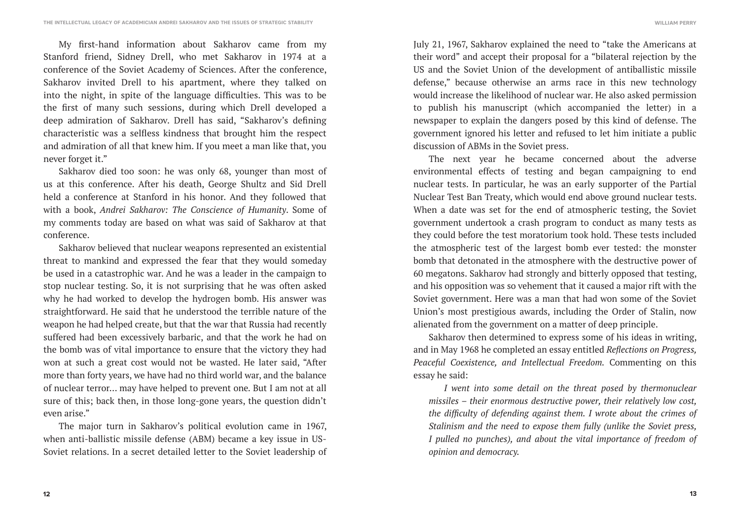My first-hand information about Sakharov came from my Stanford friend, Sidney Drell, who met Sakharov in 1974 at a conference of the Soviet Academy of Sciences. After the conference, Sakharov invited Drell to his apartment, where they talked on into the night, in spite of the language difficulties. This was to be the first of many such sessions, during which Drell developed a deep admiration of Sakharov. Drell has said, "Sakharov's defining characteristic was a selfless kindness that brought him the respect and admiration of all that knew him. If you meet a man like that, you never forget it."

Sakharov died too soon: he was only 68, younger than most of us at this conference. After his death, George Shultz and Sid Drell held a conference at Stanford in his honor. And they followed that with a book, *Andrei Sakharov: The Conscience of Humanity*. Some of my comments today are based on what was said of Sakharov at that conference.

Sakharov believed that nuclear weapons represented an existential threat to mankind and expressed the fear that they would someday be used in a catastrophic war. And he was a leader in the campaign to stop nuclear testing. So, it is not surprising that he was often asked why he had worked to develop the hydrogen bomb. His answer was straightforward. He said that he understood the terrible nature of the weapon he had helped create, but that the war that Russia had recently suffered had been excessively barbaric, and that the work he had on the bomb was of vital importance to ensure that the victory they had won at such a great cost would not be wasted. He later said, "After more than forty years, we have had no third world war, and the balance of nuclear terror… may have helped to prevent one*.* But I am not at all sure of this; back then, in those long-gone years, the question didn't even arise."

The major turn in Sakharov's political evolution came in 1967, when anti-ballistic missile defense (ABM) became a key issue in US-Soviet relations. In a secret detailed letter to the Soviet leadership of **WILLIAM PERRY**

July 21, 1967, Sakharov explained the need to "take the Americans at their word" and accept their proposal for a "bilateral rejection by the US and the Soviet Union of the development of antiballistic missile defense," because otherwise an arms race in this new technology would increase the likelihood of nuclear war. He also asked permission to publish his manuscript (which accompanied the letter) in a newspaper to explain the dangers posed by this kind of defense. The government ignored his letter and refused to let him initiate a public discussion of ABMs in the Soviet press.

The next year he became concerned about the adverse environmental effects of testing and began campaigning to end nuclear tests. In particular, he was an early supporter of the Partial Nuclear Test Ban Treaty, which would end above ground nuclear tests. When a date was set for the end of atmospheric testing, the Soviet government undertook a crash program to conduct as many tests as they could before the test moratorium took hold. These tests included the atmospheric test of the largest bomb ever tested: the monster bomb that detonated in the atmosphere with the destructive power of 60 megatons. Sakharov had strongly and bitterly opposed that testing, and his opposition was so vehement that it caused a major rift with the Soviet government. Here was a man that had won some of the Soviet Union's most prestigious awards, including the Order of Stalin, now alienated from the government on a matter of deep principle.

Sakharov then determined to express some of his ideas in writing, and in May 1968 he completed an essay entitled *Reflections on Progress, Peaceful Coexistence, and Intellectual Freedom.* Commenting on this essay he said:

*I went into some detail on the threat posed by thermonuclear missiles – their enormous destructive power, their relatively low cost, the difficulty of defending against them. I wrote about the crimes of Stalinism and the need to expose them fully (unlike the Soviet press, I pulled no punches), and about the vital importance of freedom of opinion and democracy.*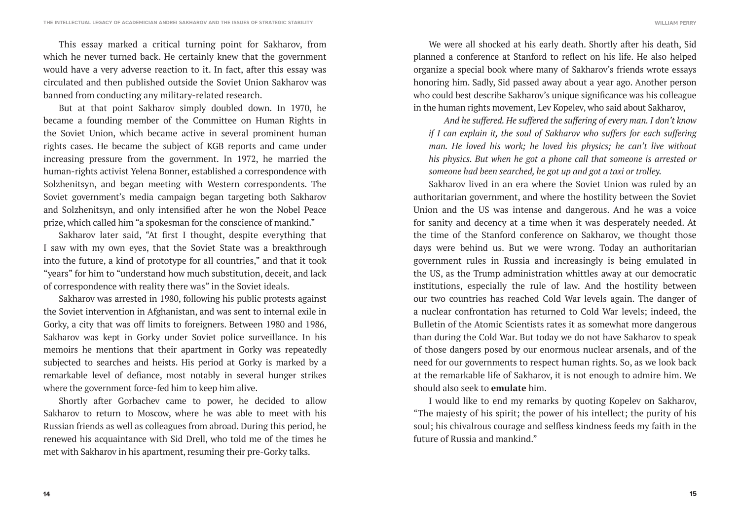This essay marked a critical turning point for Sakharov, from which he never turned back. He certainly knew that the government would have a very adverse reaction to it. In fact, after this essay was circulated and then published outside the Soviet Union Sakharov was banned from conducting any military-related research.

But at that point Sakharov simply doubled down. In 1970, he became a founding member of the Committee on Human Rights in the Soviet Union, which became active in several prominent human rights cases. He became the subject of KGB reports and came under increasing pressure from the government. In 1972, he married the human-rights activist Yelena Bonner, established a correspondence with Solzhenitsyn, and began meeting with Western correspondents. The Soviet government's media campaign began targeting both Sakharov and Solzhenitsyn, and only intensified after he won the Nobel Peace prize, which called him "a spokesman for the conscience of mankind."

Sakharov later said, "At first I thought, despite everything that I saw with my own eyes, that the Soviet State was a breakthrough into the future, a kind of prototype for all countries," and that it took "years" for him to "understand how much substitution, deceit, and lack of correspondence with reality there was" in the Soviet ideals.

Sakharov was arrested in 1980, following his public protests against the Soviet intervention in Afghanistan, and was sent to internal exile in Gorky, a city that was off limits to foreigners. Between 1980 and 1986, Sakharov was kept in Gorky under Soviet police surveillance. In his memoirs he mentions that their apartment in Gorky was repeatedly subjected to searches and heists. His period at Gorky is marked by a remarkable level of defiance, most notably in several hunger strikes where the government force-fed him to keep him alive.

Shortly after Gorbachev came to power, he decided to allow Sakharov to return to Moscow, where he was able to meet with his Russian friends as well as colleagues from abroad. During this period, he renewed his acquaintance with Sid Drell, who told me of the times he met with Sakharov in his apartment, resuming their pre-Gorky talks.

We were all shocked at his early death. Shortly after his death, Sid planned a conference at Stanford to reflect on his life. He also helped organize a special book where many of Sakharov's friends wrote essays honoring him. Sadly, Sid passed away about a year ago. Another person who could best describe Sakharov's unique significance was his colleague in the human rights movement, Lev Kopelev, who said about Sakharov,

*And he suffered. He suffered the suffering of every man. I don't know if I can explain it, the soul of Sakharov who suffers for each suffering man. He loved his work; he loved his physics; he can't live without his physics. But when he got a phone call that someone is arrested or someone had been searched, he got up and got a taxi or trolley.*

Sakharov lived in an era where the Soviet Union was ruled by an authoritarian government, and where the hostility between the Soviet Union and the US was intense and dangerous. And he was a voice for sanity and decency at a time when it was desperately needed. At the time of the Stanford conference on Sakharov, we thought those days were behind us. But we were wrong. Today an authoritarian government rules in Russia and increasingly is being emulated in the US, as the Trump administration whittles away at our democratic institutions, especially the rule of law. And the hostility between our two countries has reached Cold War levels again. The danger of a nuclear confrontation has returned to Cold War levels; indeed, the Bulletin of the Atomic Scientists rates it as somewhat more dangerous than during the Cold War. But today we do not have Sakharov to speak of those dangers posed by our enormous nuclear arsenals, and of the need for our governments to respect human rights. So, as we look back at the remarkable life of Sakharov, it is not enough to admire him. We should also seek to **emulate** him.

I would like to end my remarks by quoting Kopelev on Sakharov, "The majesty of his spirit; the power of his intellect; the purity of his soul; his chivalrous courage and selfless kindness feeds my faith in the future of Russia and mankind."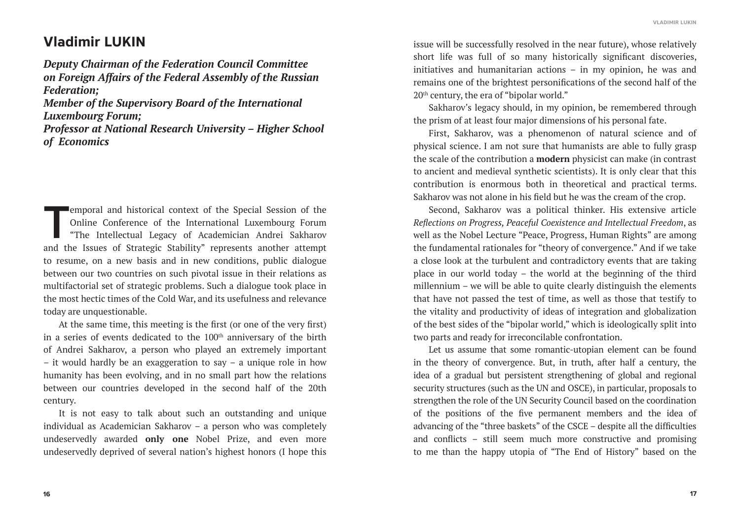# **Vladimir LUKIN**

*Deputy Chairman of the Federation Council Committee on Foreign Affairs of the Federal Assembly of the Russian Federation;* 

*Member of the Supervisory Board of the International Luxembourg Forum;* 

*Professor at National Research University – Higher School of Economics*

emporal and historical context of the Special Session of the Online Conference of the International Luxembourg Forum "The Intellectual Legacy of Academician Andrei Sakharov<br>and the Issues of Strategic Stability" conceents Online Conference of the International Luxembourg Forum "The Intellectual Legacy of Academician Andrei Sakharov and the Issues of Strategic Stability" represents another attempt to resume, on a new basis and in new conditions, public dialogue between our two countries on such pivotal issue in their relations as multifactorial set of strategic problems. Such a dialogue took place in the most hectic times of the Cold War, and its usefulness and relevance today are unquestionable.

At the same time, this meeting is the first (or one of the very first) in a series of events dedicated to the 100<sup>th</sup> anniversary of the birth of Andrei Sakharov, a person who played an extremely important – it would hardly be an exaggeration to say – a unique role in how humanity has been evolving, and in no small part how the relations between our countries developed in the second half of the 20th century.

It is not easy to talk about such an outstanding and unique individual as Academician Sakharov – a person who was completely undeservedly awarded **only one** Nobel Prize, and even more undeservedly deprived of several nation's highest honors (I hope this

issue will be successfully resolved in the near future), whose relatively short life was full of so many historically significant discoveries, initiatives and humanitarian actions – in my opinion, he was and remains one of the brightest personifications of the second half of the 20<sup>th</sup> century, the era of "bipolar world."

Sakharov's legacy should, in my opinion, be remembered through the prism of at least four major dimensions of his personal fate.

First, Sakharov, was a phenomenon of natural science and of physical science. I am not sure that humanists are able to fully grasp the scale of the contribution a **modern** physicist can make (in contrast to ancient and medieval synthetic scientists). It is only clear that this contribution is enormous both in theoretical and practical terms. Sakharov was not alone in his field but he was the cream of the crop.

Second, Sakharov was a political thinker. His extensive article *Reflections on Progress, Peaceful Coexistence and Intellectual Freedom*, as well as the Nobel Lecture "Peace, Progress, Human Rights" are among the fundamental rationales for "theory of convergence." And if we take a close look at the turbulent and contradictory events that are taking place in our world today – the world at the beginning of the third millennium – we will be able to quite clearly distinguish the elements that have not passed the test of time, as well as those that testify to the vitality and productivity of ideas of integration and globalization of the best sides of the "bipolar world," which is ideologically split into two parts and ready for irreconcilable confrontation.

Let us assume that some romantic-utopian element can be found in the theory of convergence. But, in truth, after half a century, the idea of a gradual but persistent strengthening of global and regional security structures (such as the UN and OSCE), in particular, proposals to strengthen the role of the UN Security Council based on the coordination of the positions of the five permanent members and the idea of advancing of the "three baskets" of the CSCE – despite all the difficulties and conflicts – still seem much more constructive and promising to me than the happy utopia of "The End of History" based on the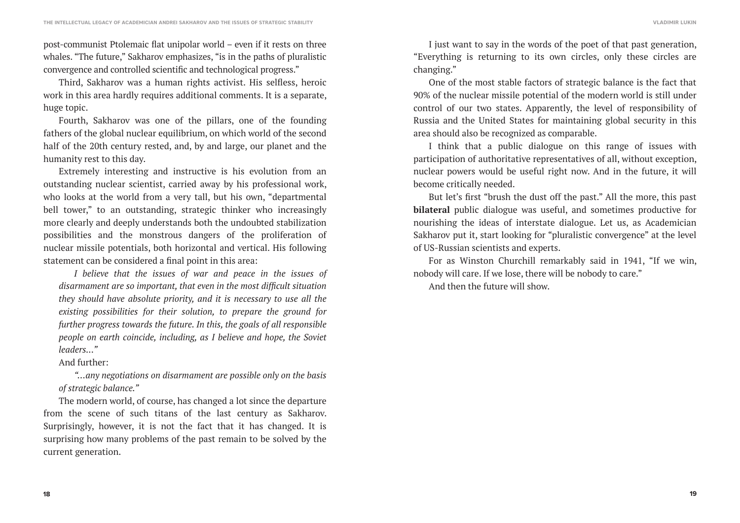post-communist Ptolemaic flat unipolar world – even if it rests on three whales. "The future," Sakharov emphasizes, "is in the paths of pluralistic convergence and controlled scientific and technological progress."

Third, Sakharov was a human rights activist. His selfless, heroic work in this area hardly requires additional comments. It is a separate, huge topic.

Fourth, Sakharov was one of the pillars, one of the founding fathers of the global nuclear equilibrium, on which world of the second half of the 20th century rested, and, by and large, our planet and the humanity rest to this day.

Extremely interesting and instructive is his evolution from an outstanding nuclear scientist, carried away by his professional work, who looks at the world from a very tall, but his own, "departmental bell tower," to an outstanding, strategic thinker who increasingly more clearly and deeply understands both the undoubted stabilization possibilities and the monstrous dangers of the proliferation of nuclear missile potentials, both horizontal and vertical. His following statement can be considered a final point in this area:

*I believe that the issues of war and peace in the issues of disarmament are so important, that even in the most difficult situation they should have absolute priority, and it is necessary to use all the existing possibilities for their solution, to prepare the ground for further progress towards the future. In this, the goals of all responsible people on earth coincide, including, as I believe and hope, the Soviet leaders..."*

And further:

*"…any negotiations on disarmament are possible only on the basis of strategic balance."*

The modern world, of course, has changed a lot since the departure from the scene of such titans of the last century as Sakharov. Surprisingly, however, it is not the fact that it has changed. It is surprising how many problems of the past remain to be solved by the current generation.

I just want to say in the words of the poet of that past generation, "Everything is returning to its own circles, only these circles are changing."

One of the most stable factors of strategic balance is the fact that 90% of the nuclear missile potential of the modern world is still under control of our two states. Apparently, the level of responsibility of Russia and the United States for maintaining global security in this area should also be recognized as comparable.

I think that a public dialogue on this range of issues with participation of authoritative representatives of all, without exception, nuclear powers would be useful right now. And in the future, it will become critically needed.

But let's first "brush the dust off the past." All the more, this past **bilateral** public dialogue was useful, and sometimes productive for nourishing the ideas of interstate dialogue. Let us, as Academician Sakharov put it, start looking for "pluralistic convergence" at the level of US-Russian scientists and experts.

For as Winston Churchill remarkably said in 1941, "If we win, nobody will care. If we lose, there will be nobody to care."

And then the future will show.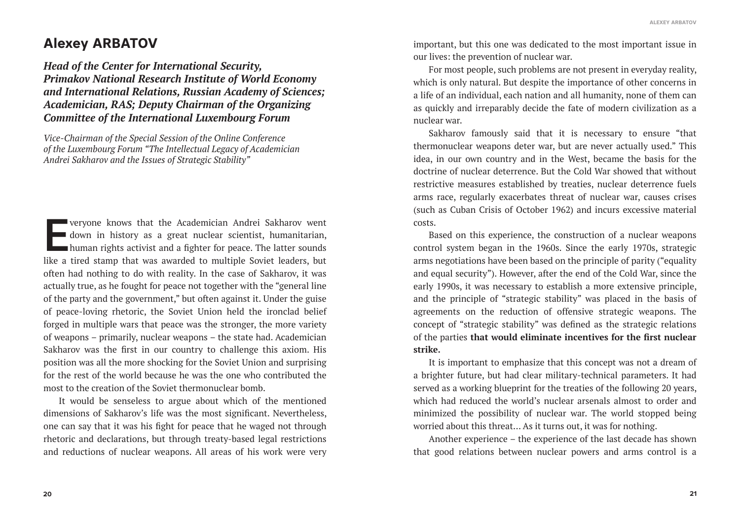# **Alexey ARBATOV**

*Head of the Center for International Security, Primakov National Research Institute of World Economy and International Relations, Russian Academy of Sciences; Academician, RAS; Deputy Chairman of the Organizing Committee of the International Luxembourg Forum*

*Vice-Chairman of the Special Session of the Online Conference of the Luxembourg Forum "The Intellectual Legacy of Academician Andrei Sakharov and the Issues of Strategic Stability"*

veryone knows that the Academician Andrei Sakharov went<br>down in history as a great nuclear scientist, humanitarian,<br>human rights activist and a fighter for peace. The latter sounds<br>like a tired stamp that was awarded to mu down in history as a great nuclear scientist, humanitarian, human rights activist and a fighter for peace. The latter sounds like a tired stamp that was awarded to multiple Soviet leaders, but often had nothing to do with reality. In the case of Sakharov, it was actually true, as he fought for peace not together with the "general line of the party and the government," but often against it. Under the guise of peace-loving rhetoric, the Soviet Union held the ironclad belief forged in multiple wars that peace was the stronger, the more variety of weapons – primarily, nuclear weapons – the state had. Academician Sakharov was the first in our country to challenge this axiom. His position was all the more shocking for the Soviet Union and surprising for the rest of the world because he was the one who contributed the most to the creation of the Soviet thermonuclear bomb.

It would be senseless to argue about which of the mentioned dimensions of Sakharov's life was the most significant. Nevertheless, one can say that it was his fight for peace that he waged not through rhetoric and declarations, but through treaty-based legal restrictions and reductions of nuclear weapons. All areas of his work were very

important, but this one was dedicated to the most important issue in our lives: the prevention of nuclear war.

For most people, such problems are not present in everyday reality, which is only natural. But despite the importance of other concerns in a life of an individual, each nation and all humanity, none of them can as quickly and irreparably decide the fate of modern civilization as a nuclear war.

Sakharov famously said that it is necessary to ensure "that thermonuclear weapons deter war, but are never actually used." This idea, in our own country and in the West, became the basis for the doctrine of nuclear deterrence. But the Cold War showed that without restrictive measures established by treaties, nuclear deterrence fuels arms race, regularly exacerbates threat of nuclear war, causes crises (such as Cuban Crisis of October 1962) and incurs excessive material costs.

Based on this experience, the construction of a nuclear weapons control system began in the 1960s. Since the early 1970s, strategic arms negotiations have been based on the principle of parity ("equality and equal security"). However, after the end of the Cold War, since the early 1990s, it was necessary to establish a more extensive principle, and the principle of "strategic stability" was placed in the basis of agreements on the reduction of offensive strategic weapons. The concept of "strategic stability" was defined as the strategic relations of the parties **that would eliminate incentives for the first nuclear strike.** 

It is important to emphasize that this concept was not a dream of a brighter future, but had clear military-technical parameters. It had served as a working blueprint for the treaties of the following 20 years, which had reduced the world's nuclear arsenals almost to order and minimized the possibility of nuclear war. The world stopped being worried about this threat... As it turns out, it was for nothing.

Another experience – the experience of the last decade has shown that good relations between nuclear powers and arms control is a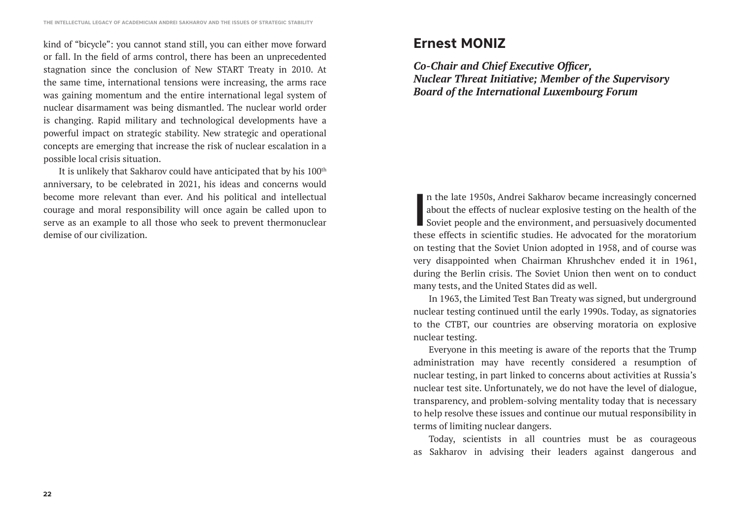kind of "bicycle": you cannot stand still, you can either move forward or fall. In the field of arms control, there has been an unprecedented stagnation since the conclusion of New START Treaty in 2010. At the same time, international tensions were increasing, the arms race was gaining momentum and the entire international legal system of nuclear disarmament was being dismantled. The nuclear world order is changing. Rapid military and technological developments have a powerful impact on strategic stability. New strategic and operational concepts are emerging that increase the risk of nuclear escalation in a possible local crisis situation.

It is unlikely that Sakharov could have anticipated that by his 100<sup>th</sup> anniversary, to be celebrated in 2021, his ideas and concerns would become more relevant than ever. And his political and intellectual courage and moral responsibility will once again be called upon to serve as an example to all those who seek to prevent thermonuclear demise of our civilization.

# **Ernest MONIZ**

*Co-Chair and Chief Executive Officer, Nuclear Threat Initiative; Member of the Supervisory Board of the International Luxembourg Forum*

In the late 1950s, Andrei Sakharov became increasingly concerned about the effects of nuclear explosive testing on the health of the Soviet people and the environment, and persuasively documented these effects in scientifi n the late 1950s, Andrei Sakharov became increasingly concerned about the effects of nuclear explosive testing on the health of the Soviet people and the environment, and persuasively documented on testing that the Soviet Union adopted in 1958, and of course was very disappointed when Chairman Khrushchev ended it in 1961, during the Berlin crisis. The Soviet Union then went on to conduct many tests, and the United States did as well.

In 1963, the Limited Test Ban Treaty was signed, but underground nuclear testing continued until the early 1990s. Today, as signatories to the CTBT, our countries are observing moratoria on explosive nuclear testing.

Everyone in this meeting is aware of the reports that the Trump administration may have recently considered a resumption of nuclear testing, in part linked to concerns about activities at Russia's nuclear test site. Unfortunately, we do not have the level of dialogue, transparency, and problem-solving mentality today that is necessary to help resolve these issues and continue our mutual responsibility in terms of limiting nuclear dangers.

Today, scientists in all countries must be as courageous as Sakharov in advising their leaders against dangerous and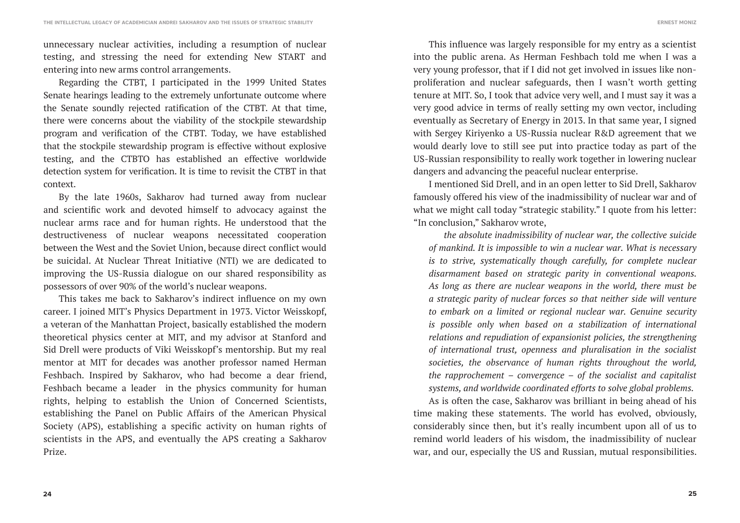unnecessary nuclear activities, including a resumption of nuclear testing, and stressing the need for extending New START and entering into new arms control arrangements.

Regarding the CTBT, I participated in the 1999 United States Senate hearings leading to the extremely unfortunate outcome where the Senate soundly rejected ratification of the CTBT. At that time, there were concerns about the viability of the stockpile stewardship program and verification of the CTBT. Today, we have established that the stockpile stewardship program is effective without explosive testing, and the CTBTO has established an effective worldwide detection system for verification. It is time to revisit the CTBT in that context.

By the late 1960s, Sakharov had turned away from nuclear and scientific work and devoted himself to advocacy against the nuclear arms race and for human rights. He understood that the destructiveness of nuclear weapons necessitated cooperation between the West and the Soviet Union, because direct conflict would be suicidal. At Nuclear Threat Initiative (NTI) we are dedicated to improving the US-Russia dialogue on our shared responsibility as possessors of over 90% of the world's nuclear weapons.

This takes me back to Sakharov's indirect influence on my own career. I joined MIT's Physics Department in 1973. Victor Weisskopf, a veteran of the Manhattan Project, basically established the modern theoretical physics center at MIT, and my advisor at Stanford and Sid Drell were products of Viki Weisskopf's mentorship. But my real mentor at MIT for decades was another professor named Herman Feshbach. Inspired by Sakharov, who had become a dear friend, Feshbach became a leader in the physics community for human rights, helping to establish the Union of Concerned Scientists, establishing the Panel on Public Affairs of the American Physical Society (APS), establishing a specific activity on human rights of scientists in the APS, and eventually the APS creating a Sakharov Prize.

**ERNEST MONIZ**

This influence was largely responsible for my entry as a scientist into the public arena. As Herman Feshbach told me when I was a very young professor, that if I did not get involved in issues like nonproliferation and nuclear safeguards, then I wasn't worth getting tenure at MIT. So, I took that advice very well, and I must say it was a very good advice in terms of really setting my own vector, including eventually as Secretary of Energy in 2013. In that same year, I signed with Sergey Kiriyenko a US-Russia nuclear R&D agreement that we would dearly love to still see put into practice today as part of the US-Russian responsibility to really work together in lowering nuclear dangers and advancing the peaceful nuclear enterprise.

I mentioned Sid Drell, and in an open letter to Sid Drell, Sakharov famously offered his view of the inadmissibility of nuclear war and of what we might call today "strategic stability." I quote from his letter: "In conclusion," Sakharov wrote,

*the absolute inadmissibility of nuclear war, the collective suicide of mankind. It is impossible to win a nuclear war. What is necessary is to strive, systematically though carefully, for complete nuclear disarmament based on strategic parity in conventional weapons. As long as there are nuclear weapons in the world, there must be a strategic parity of nuclear forces so that neither side will venture to embark on a limited or regional nuclear war. Genuine security is possible only when based on a stabilization of international relations and repudiation of expansionist policies, the strengthening of international trust, openness and pluralisation in the socialist societies, the observance of human rights throughout the world, the rapprochement – convergence – of the socialist and capitalist systems, and worldwide coordinated efforts to solve global problems.*

As is often the case, Sakharov was brilliant in being ahead of his time making these statements. The world has evolved, obviously, considerably since then, but it's really incumbent upon all of us to remind world leaders of his wisdom, the inadmissibility of nuclear war, and our, especially the US and Russian, mutual responsibilities.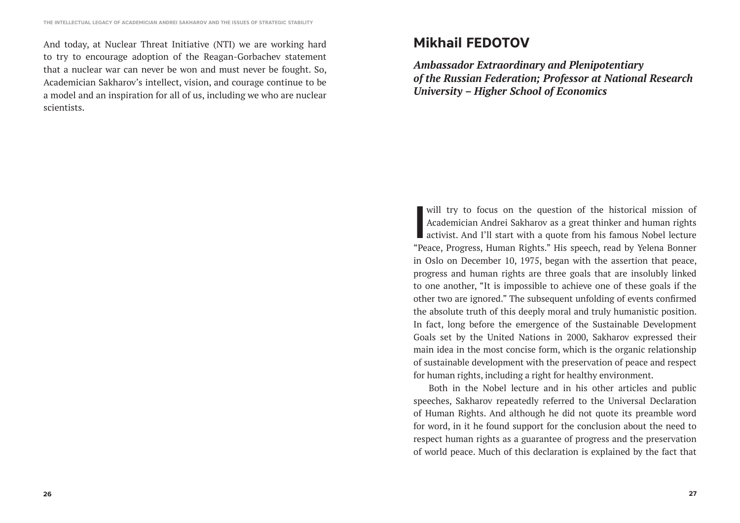And today, at Nuclear Threat Initiative (NTI) we are working hard to try to encourage adoption of the Reagan-Gorbachev statement that a nuclear war can never be won and must never be fought. So, Academician Sakharov's intellect, vision, and courage continue to be a model and an inspiration for all of us, including we who are nuclear scientists.

## **Mikhail FEDOTOV**

*Ambassador Extraordinary and Plenipotentiary of the Russian Federation; Professor at National Research University – Higher School of Economics*

will try to focus on the question of the historical mission of<br>Academician Andrei Sakharov as a great thinker and human rights<br>activist. And I'll start with a quote from his famous Nobel lecture<br>"Pease, Progress, Human Pig Academician Andrei Sakharov as a great thinker and human rights activist. And I'll start with a quote from his famous Nobel lecture "Peace, Progress, Human Rights." His speech, read by Yelena Bonner in Oslo on December 10, 1975, began with the assertion that peace, progress and human rights are three goals that are insolubly linked to one another, "It is impossible to achieve one of these goals if the other two are ignored." The subsequent unfolding of events confirmed the absolute truth of this deeply moral and truly humanistic position. In fact, long before the emergence of the Sustainable Development Goals set by the United Nations in 2000, Sakharov expressed their main idea in the most concise form, which is the organic relationship of sustainable development with the preservation of peace and respect for human rights, including a right for healthy environment.

Both in the Nobel lecture and in his other articles and public speeches, Sakharov repeatedly referred to the Universal Declaration of Human Rights. And although he did not quote its preamble word for word, in it he found support for the conclusion about the need to respect human rights as a guarantee of progress and the preservation of world peace. Much of this declaration is explained by the fact that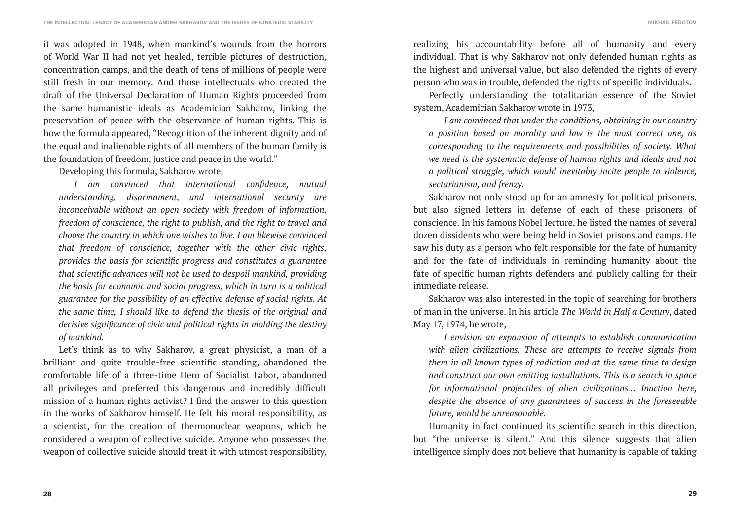it was adopted in 1948, when mankind's wounds from the horrors of World War II had not yet healed, terrible pictures of destruction, concentration camps, and the death of tens of millions of people were still fresh in our memory. And those intellectuals who created the draft of the Universal Declaration of Human Rights proceeded from the same humanistic ideals as Academician Sakharov, linking the preservation of peace with the observance of human rights. This is how the formula appeared, "Recognition of the inherent dignity and of the equal and inalienable rights of all members of the human family is the foundation of freedom, justice and peace in the world."

Developing this formula, Sakharov wrote,

*I am convinced that international confidence, mutual understanding, disarmament, and international security are inconceivable without an open society with freedom of information, freedom of conscience, the right to publish, and the right to travel and choose the country in which one wishes to live. I am likewise convinced that freedom of conscience, together with the other civic rights, provides the basis for scientific progress and constitutes a guarantee that scientific advances will not be used to despoil mankind, providing the basis for economic and social progress, which in turn is a political guarantee for the possibility of an effective defense of social rights. At the same time, I should like to defend the thesis of the original and decisive significance of civic and political rights in molding the destiny of mankind.*

Let's think as to why Sakharov, a great physicist, a man of a brilliant and quite trouble-free scientific standing, abandoned the comfortable life of a three-time Hero of Socialist Labor, abandoned all privileges and preferred this dangerous and incredibly difficult mission of a human rights activist? I find the answer to this question in the works of Sakharov himself. He felt his moral responsibility, as a scientist, for the creation of thermonuclear weapons, which he considered a weapon of collective suicide. Anyone who possesses the weapon of collective suicide should treat it with utmost responsibility,

realizing his accountability before all of humanity and every individual. That is why Sakharov not only defended human rights as the highest and universal value, but also defended the rights of every person who was in trouble, defended the rights of specific individuals.

Perfectly understanding the totalitarian essence of the Soviet system, Academician Sakharov wrote in 1973,

*I am convinced that under the conditions, obtaining in our country a position based on morality and law is the most correct one, as corresponding to the requirements and possibilities of society. What we need is the systematic defense of human rights and ideals and not a political struggle, which would inevitably incite people to violence, sectarianism, and frenzy.*

Sakharov not only stood up for an amnesty for political prisoners, but also signed letters in defense of each of these prisoners of conscience. In his famous Nobel lecture, he listed the names of several dozen dissidents who were being held in Soviet prisons and camps. He saw his duty as a person who felt responsible for the fate of humanity and for the fate of individuals in reminding humanity about the fate of specific human rights defenders and publicly calling for their immediate release.

Sakharov was also interested in the topic of searching for brothers of man in the universe. In his article *The World in Half a Century*, dated May 17, 1974, he wrote,

*I envision an expansion of attempts to establish communication with alien civilizations. These are attempts to receive signals from them in all known types of radiation and at the same time to design and construct our own emitting installations. This is a search in space for informational projectiles of alien civilizations… Inaction here, despite the absence of any guarantees of success in the foreseeable future, would be unreasonable.*

Humanity in fact continued its scientific search in this direction, but "the universe is silent." And this silence suggests that alien intelligence simply does not believe that humanity is capable of taking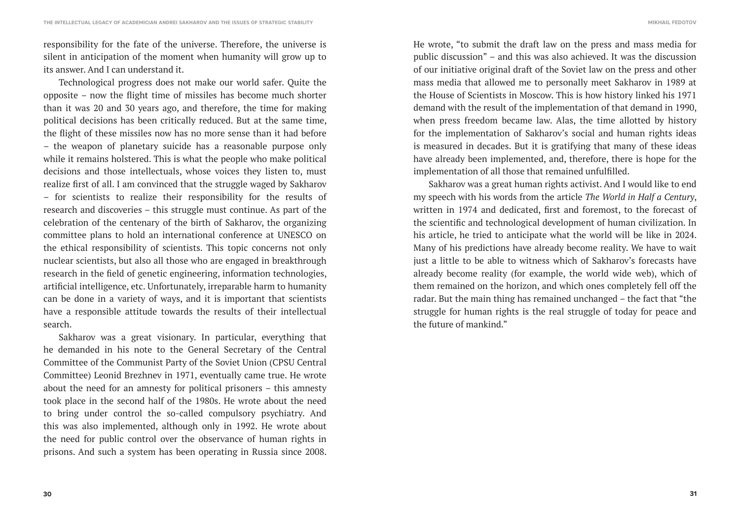responsibility for the fate of the universe. Therefore, the universe is silent in anticipation of the moment when humanity will grow up to its answer. And I can understand it.

Technological progress does not make our world safer. Quite the opposite – now the flight time of missiles has become much shorter than it was 20 and 30 years ago, and therefore, the time for making political decisions has been critically reduced. But at the same time, the flight of these missiles now has no more sense than it had before – the weapon of planetary suicide has a reasonable purpose only while it remains holstered. This is what the people who make political decisions and those intellectuals, whose voices they listen to, must realize first of all. I am convinced that the struggle waged by Sakharov – for scientists to realize their responsibility for the results of research and discoveries – this struggle must continue. As part of the celebration of the centenary of the birth of Sakharov, the organizing committee plans to hold an international conference at UNESCO on the ethical responsibility of scientists. This topic concerns not only nuclear scientists, but also all those who are engaged in breakthrough research in the field of genetic engineering, information technologies, artificial intelligence, etc. Unfortunately, irreparable harm to humanity can be done in a variety of ways, and it is important that scientists have a responsible attitude towards the results of their intellectual search.

Sakharov was a great visionary. In particular, everything that he demanded in his note to the General Secretary of the Central Committee of the Communist Party of the Soviet Union (CPSU Central Committee) Leonid Brezhnev in 1971, eventually came true. He wrote about the need for an amnesty for political prisoners – this amnesty took place in the second half of the 1980s. He wrote about the need to bring under control the so-called compulsory psychiatry. And this was also implemented, although only in 1992. He wrote about the need for public control over the observance of human rights in prisons. And such a system has been operating in Russia since 2008.

He wrote, "to submit the draft law on the press and mass media for public discussion" – and this was also achieved. It was the discussion of our initiative original draft of the Soviet law on the press and other mass media that allowed me to personally meet Sakharov in 1989 at the House of Scientists in Moscow. This is how history linked his 1971 demand with the result of the implementation of that demand in 1990, when press freedom became law. Alas, the time allotted by history for the implementation of Sakharov's social and human rights ideas is measured in decades. But it is gratifying that many of these ideas have already been implemented, and, therefore, there is hope for the implementation of all those that remained unfulfilled.

Sakharov was a great human rights activist. And I would like to end my speech with his words from the article *The World in Half a Century*, written in 1974 and dedicated, first and foremost, to the forecast of the scientific and technological development of human civilization. In his article, he tried to anticipate what the world will be like in 2024. Many of his predictions have already become reality. We have to wait just a little to be able to witness which of Sakharov's forecasts have already become reality (for example, the world wide web), which of them remained on the horizon, and which ones completely fell off the radar. But the main thing has remained unchanged – the fact that "the struggle for human rights is the real struggle of today for peace and the future of mankind."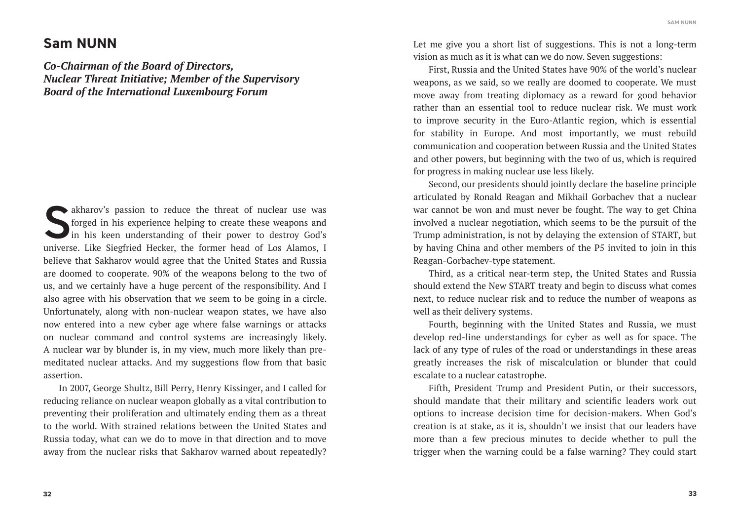### **Sam NUNN**

*Co-Chairman of the Board of Directors, Nuclear Threat Initiative; Member of the Supervisory Board of the International Luxembourg Forum*

akharov's passion to reduce the threat of nuclear use was forged in his experience helping to create these weapons and in his keen understanding of their power to destroy God's universe. Like Siegfried Hecker, the former b forged in his experience helping to create these weapons and in his keen understanding of their power to destroy God's universe. Like Siegfried Hecker, the former head of Los Alamos, I believe that Sakharov would agree that the United States and Russia are doomed to cooperate. 90% of the weapons belong to the two of us, and we certainly have a huge percent of the responsibility. And I also agree with his observation that we seem to be going in a circle. Unfortunately, along with non-nuclear weapon states, we have also now entered into a new cyber age where false warnings or attacks on nuclear command and control systems are increasingly likely. A nuclear war by blunder is, in my view, much more likely than premeditated nuclear attacks. And my suggestions flow from that basic assertion.

In 2007, George Shultz, Bill Perry, Henry Kissinger, and I called for reducing reliance on nuclear weapon globally as a vital contribution to preventing their proliferation and ultimately ending them as a threat to the world. With strained relations between the United States and Russia today, what can we do to move in that direction and to move away from the nuclear risks that Sakharov warned about repeatedly? Let me give you a short list of suggestions. This is not a long-term vision as much as it is what can we do now. Seven suggestions:

First, Russia and the United States have 90% of the world's nuclear weapons, as we said, so we really are doomed to cooperate. We must move away from treating diplomacy as a reward for good behavior rather than an essential tool to reduce nuclear risk. We must work to improve security in the Euro-Atlantic region, which is essential for stability in Europe. And most importantly, we must rebuild communication and cooperation between Russia and the United States and other powers, but beginning with the two of us, which is required for progress in making nuclear use less likely.

Second, our presidents should jointly declare the baseline principle articulated by Ronald Reagan and Mikhail Gorbachev that a nuclear war cannot be won and must never be fought. The way to get China involved a nuclear negotiation, which seems to be the pursuit of the Trump administration, is not by delaying the extension of START, but by having China and other members of the P5 invited to join in this Reagan-Gorbachev-type statement.

Third, as a critical near-term step, the United States and Russia should extend the New START treaty and begin to discuss what comes next, to reduce nuclear risk and to reduce the number of weapons as well as their delivery systems.

Fourth, beginning with the United States and Russia, we must develop red-line understandings for cyber as well as for space. The lack of any type of rules of the road or understandings in these areas greatly increases the risk of miscalculation or blunder that could escalate to a nuclear catastrophe.

Fifth, President Trump and President Putin, or their successors, should mandate that their military and scientific leaders work out options to increase decision time for decision-makers. When God's creation is at stake, as it is, shouldn't we insist that our leaders have more than a few precious minutes to decide whether to pull the trigger when the warning could be a false warning? They could start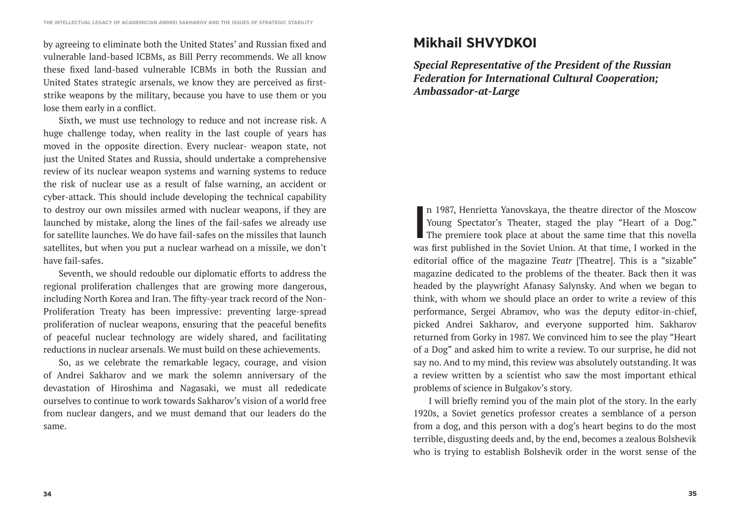by agreeing to eliminate both the United States' and Russian fixed and vulnerable land-based ICBMs, as Bill Perry recommends. We all know these fixed land-based vulnerable ICBMs in both the Russian and United States strategic arsenals, we know they are perceived as firststrike weapons by the military, because you have to use them or you lose them early in a conflict.

Sixth, we must use technology to reduce and not increase risk. A huge challenge today, when reality in the last couple of years has moved in the opposite direction. Every nuclear- weapon state, not just the United States and Russia, should undertake a comprehensive review of its nuclear weapon systems and warning systems to reduce the risk of nuclear use as a result of false warning, an accident or cyber-attack. This should include developing the technical capability to destroy our own missiles armed with nuclear weapons, if they are launched by mistake, along the lines of the fail-safes we already use for satellite launches. We do have fail-safes on the missiles that launch satellites, but when you put a nuclear warhead on a missile, we don't have fail-safes.

Seventh, we should redouble our diplomatic efforts to address the regional proliferation challenges that are growing more dangerous, including North Korea and Iran. The fifty-year track record of the Non-Proliferation Treaty has been impressive: preventing large-spread proliferation of nuclear weapons, ensuring that the peaceful benefits of peaceful nuclear technology are widely shared, and facilitating reductions in nuclear arsenals. We must build on these achievements.

So, as we celebrate the remarkable legacy, courage, and vision of Andrei Sakharov and we mark the solemn anniversary of the devastation of Hiroshima and Nagasaki, we must all rededicate ourselves to continue to work towards Sakharov's vision of a world free from nuclear dangers, and we must demand that our leaders do the same.

# **Mikhail SHVYDKOI**

*Special Representative of the President of the Russian Federation for International Cultural Cooperation; Ambassador-at-Large*

**I** n 1987, Henrietta Yanovskaya, the theatre director of the Moscow Young Spectator's Theater, staged the play "Heart of a Dog." The premiere took place at about the same time that this novella was first published in the Soviet Union. At that time, I worked in the editorial office of the magazine *Teatr* [Theatre]. This is a "sizable" magazine dedicated to the problems of the theater. Back then it was headed by the playwright Afanasy Salynsky. And when we began to think, with whom we should place an order to write a review of this performance, Sergei Abramov, who was the deputy editor-in-chief, picked Andrei Sakharov, and everyone supported him. Sakharov returned from Gorky in 1987. We convinced him to see the play "Heart of a Dog" and asked him to write a review. To our surprise, he did not say no. And to my mind, this review was absolutely outstanding. It was a review written by a scientist who saw the most important ethical problems of science in Bulgakov's story.

I will briefly remind you of the main plot of the story. In the early 1920s, a Soviet genetics professor creates a semblance of a person from a dog, and this person with a dog's heart begins to do the most terrible, disgusting deeds and, by the end, becomes a zealous Bolshevik who is trying to establish Bolshevik order in the worst sense of the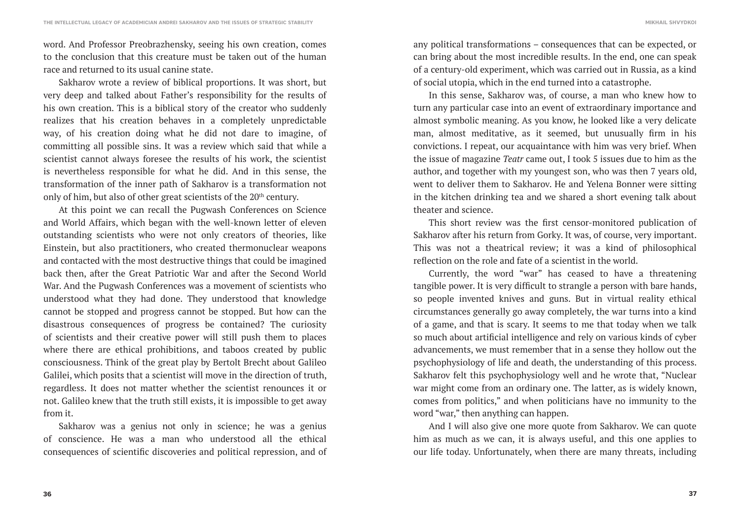word. And Professor Preobrazhensky, seeing his own creation, comes to the conclusion that this creature must be taken out of the human race and returned to its usual canine state.

Sakharov wrote a review of biblical proportions. It was short, but very deep and talked about Father's responsibility for the results of his own creation. This is a biblical story of the creator who suddenly realizes that his creation behaves in a completely unpredictable way, of his creation doing what he did not dare to imagine, of committing all possible sins. It was a review which said that while a scientist cannot always foresee the results of his work, the scientist is nevertheless responsible for what he did. And in this sense, the transformation of the inner path of Sakharov is a transformation not only of him, but also of other great scientists of the 20<sup>th</sup> century.

At this point we can recall the Pugwash Conferences on Science and World Affairs, which began with the well-known letter of eleven outstanding scientists who were not only creators of theories, like Einstein, but also practitioners, who created thermonuclear weapons and contacted with the most destructive things that could be imagined back then, after the Great Patriotic War and after the Second World War. And the Pugwash Conferences was a movement of scientists who understood what they had done. They understood that knowledge cannot be stopped and progress cannot be stopped. But how can the disastrous consequences of progress be contained? The curiosity of scientists and their creative power will still push them to places where there are ethical prohibitions, and taboos created by public consciousness. Think of the great play by Bertolt Brecht about Galileo Galilei, which posits that a scientist will move in the direction of truth, regardless. It does not matter whether the scientist renounces it or not. Galileo knew that the truth still exists, it is impossible to get away from it.

Sakharov was a genius not only in science; he was a genius of conscience. He was a man who understood all the ethical consequences of scientific discoveries and political repression, and of any political transformations – consequences that can be expected, or can bring about the most incredible results. In the end, one can speak of a century-old experiment, which was carried out in Russia, as a kind of social utopia, which in the end turned into a catastrophe.

In this sense, Sakharov was, of course, a man who knew how to turn any particular case into an event of extraordinary importance and almost symbolic meaning. As you know, he looked like a very delicate man, almost meditative, as it seemed, but unusually firm in his convictions. I repeat, our acquaintance with him was very brief. When the issue of magazine *Teatr* came out, I took 5 issues due to him as the author, and together with my youngest son, who was then 7 years old, went to deliver them to Sakharov. He and Yelena Bonner were sitting in the kitchen drinking tea and we shared a short evening talk about theater and science.

This short review was the first censor-monitored publication of Sakharov after his return from Gorky. It was, of course, very important. This was not a theatrical review; it was a kind of philosophical reflection on the role and fate of a scientist in the world.

Currently, the word "war" has ceased to have a threatening tangible power. It is very difficult to strangle a person with bare hands, so people invented knives and guns. But in virtual reality ethical circumstances generally go away completely, the war turns into a kind of a game, and that is scary. It seems to me that today when we talk so much about artificial intelligence and rely on various kinds of cyber advancements, we must remember that in a sense they hollow out the psychophysiology of life and death, the understanding of this process. Sakharov felt this psychophysiology well and he wrote that, "Nuclear war might come from an ordinary one. The latter, as is widely known, comes from politics," and when politicians have no immunity to the word "war," then anything can happen.

And I will also give one more quote from Sakharov. We can quote him as much as we can, it is always useful, and this one applies to our life today. Unfortunately, when there are many threats, including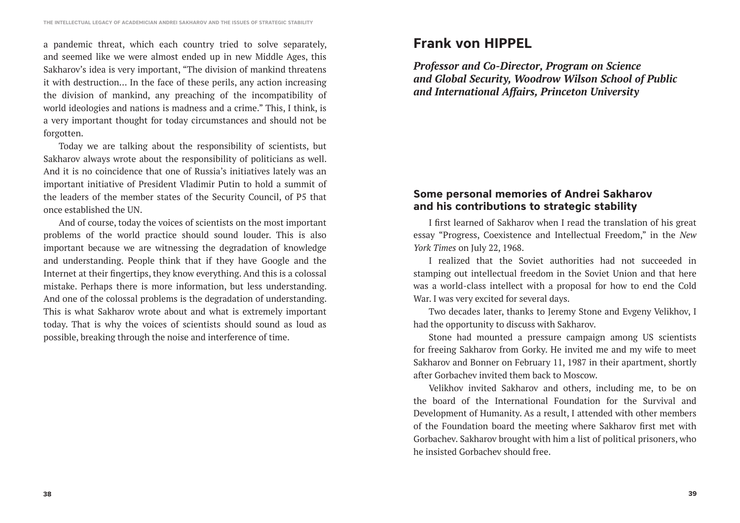a pandemic threat, which each country tried to solve separately, and seemed like we were almost ended up in new Middle Ages, this Sakharov's idea is very important, "The division of mankind threatens it with destruction… In the face of these perils, any action increasing the division of mankind, any preaching of the incompatibility of world ideologies and nations is madness and a crime." This, I think, is a very important thought for today circumstances and should not be forgotten.

Today we are talking about the responsibility of scientists, but Sakharov always wrote about the responsibility of politicians as well. And it is no coincidence that one of Russia's initiatives lately was an important initiative of President Vladimir Putin to hold a summit of the leaders of the member states of the Security Council, of P5 that once established the UN.

And of course, today the voices of scientists on the most important problems of the world practice should sound louder. This is also important because we are witnessing the degradation of knowledge and understanding. People think that if they have Google and the Internet at their fingertips, they know everything. And this is a colossal mistake. Perhaps there is more information, but less understanding. And one of the colossal problems is the degradation of understanding. This is what Sakharov wrote about and what is extremely important today. That is why the voices of scientists should sound as loud as possible, breaking through the noise and interference of time.

# **Frank von HIPPEL**

*Professor and Co-Director, Program on Science and Global Security, Woodrow Wilson School of Public and International Affairs, Princeton University*

### **Some personal memories of Andrei Sakharov and his contributions to strategic stability**

I first learned of Sakharov when I read the translation of his great essay "Progress, Coexistence and Intellectual Freedom," in the *New York Times* on July 22, 1968.

I realized that the Soviet authorities had not succeeded in stamping out intellectual freedom in the Soviet Union and that here was a world-class intellect with a proposal for how to end the Cold War. I was very excited for several days.

Two decades later, thanks to Jeremy Stone and Evgeny Velikhov, I had the opportunity to discuss with Sakharov.

Stone had mounted a pressure campaign among US scientists for freeing Sakharov from Gorky. He invited me and my wife to meet Sakharov and Bonner on February 11, 1987 in their apartment, shortly after Gorbachev invited them back to Moscow.

Velikhov invited Sakharov and others, including me, to be on the board of the International Foundation for the Survival and Development of Humanity. As a result, I attended with other members of the Foundation board the meeting where Sakharov first met with Gorbachev. Sakharov brought with him a list of political prisoners, who he insisted Gorbachev should free.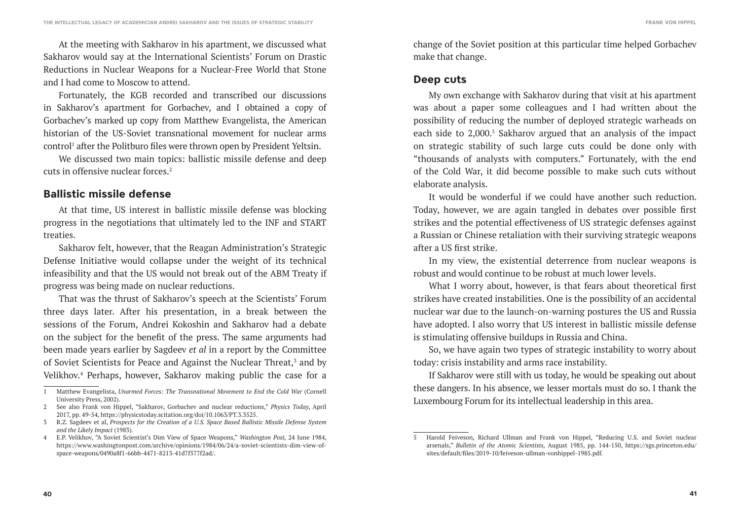**FRANK VON HIPPEL**

At the meeting with Sakharov in his apartment, we discussed what Sakharov would say at the International Scientists' Forum on Drastic Reductions in Nuclear Weapons for a Nuclear-Free World that Stone and I had come to Moscow to attend.

Fortunately, the KGB recorded and transcribed our discussions in Sakharov's apartment for Gorbachev, and I obtained a copy of Gorbachev's marked up copy from Matthew Evangelista, the American historian of the US-Soviet transnational movement for nuclear arms control<sup>1</sup> after the Politburo files were thrown open by President Yeltsin.

We discussed two main topics: ballistic missile defense and deep cuts in offensive nuclear forces.2

### **Ballistic missile defense**

At that time, US interest in ballistic missile defense was blocking progress in the negotiations that ultimately led to the INF and START treaties.

Sakharov felt, however, that the Reagan Administration's Strategic Defense Initiative would collapse under the weight of its technical infeasibility and that the US would not break out of the ABM Treaty if progress was being made on nuclear reductions.

That was the thrust of Sakharov's speech at the Scientists' Forum three days later. After his presentation, in a break between the sessions of the Forum, Andrei Kokoshin and Sakharov had a debate on the subject for the benefit of the press. The same arguments had been made years earlier by Sagdeev *et al* in a report by the Committee of Soviet Scientists for Peace and Against the Nuclear Threat,<sup>3</sup> and by Velikhov.<sup>4</sup> Perhaps, however, Sakharov making public the case for a change of the Soviet position at this particular time helped Gorbachev make that change.

### **Deep cuts**

My own exchange with Sakharov during that visit at his apartment was about a paper some colleagues and I had written about the possibility of reducing the number of deployed strategic warheads on each side to  $2,000$ .<sup>5</sup> Sakharov argued that an analysis of the impact on strategic stability of such large cuts could be done only with "thousands of analysts with computers." Fortunately, with the end of the Cold War, it did become possible to make such cuts without elaborate analysis.

It would be wonderful if we could have another such reduction. Today, however, we are again tangled in debates over possible first strikes and the potential effectiveness of US strategic defenses against a Russian or Chinese retaliation with their surviving strategic weapons after a US first strike.

In my view, the existential deterrence from nuclear weapons is robust and would continue to be robust at much lower levels.

What I worry about, however, is that fears about theoretical first strikes have created instabilities. One is the possibility of an accidental nuclear war due to the launch-on-warning postures the US and Russia have adopted. I also worry that US interest in ballistic missile defense is stimulating offensive buildups in Russia and China.

So, we have again two types of strategic instability to worry about today: crisis instability and arms race instability.

If Sakharov were still with us today, he would be speaking out about these dangers. In his absence, we lesser mortals must do so. I thank the Luxembourg Forum for its intellectual leadership in this area.

<sup>1</sup> Matthew Evangelista, *Unarmed Forces: The Transnational Movement to End the Cold War* (Cornell University Press, 2002).

<sup>2</sup> See also Frank von Hippel, "Sakharov, Gorbachev and nuclear reductions," *Physics Today*, April 2017, pp. 49-54, https://physicstoday.scitation.org/doi/10.1063/PT.3.3525.

<sup>3</sup> R.Z. Sagdeev et al, *Prospects for the Creation of a U.S. Space Based Ballistic Missile Defense System and the Likely Impact* (1983).

<sup>4</sup> E.P. Velikhov, "A Soviet Scientist's Dim View of Space Weapons," *Washington Post,* 24 June 1984, https://www.washingtonpost.com/archive/opinions/1984/06/24/a-soviet-scientists-dim-view-ofspace-weapons/0490a8f1-66bb-4471-8213-41d7f577f2ad/.

<sup>5</sup> Harold Feiveson, Richard Ullman and Frank von Hippel, "Reducing U.S. and Soviet nuclear arsenals," *Bulletin of the Atomic Scientists,* August 1985, pp. 144-150, https://sgs.princeton.edu/ sites/default/files/2019-10/feiveson-ullman-vonhippel-1985.pdf.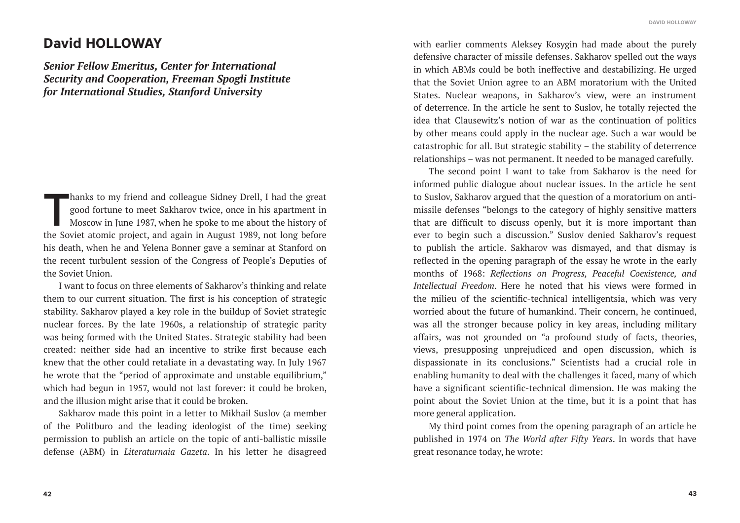## **David HOLLOWAY**

*Senior Fellow Emeritus, Center for International Security and Cooperation, Freeman Spogli Institute for International Studies, Stanford University*

hanks to my friend and colleague Sidney Drell, I had the great good fortune to meet Sakharov twice, once in his apartment in Moscow in June 1987, when he spoke to me about the history of the Soviet atomic project, and agai good fortune to meet Sakharov twice, once in his apartment in Moscow in June 1987, when he spoke to me about the history of the Soviet atomic project, and again in August 1989, not long before his death, when he and Yelena Bonner gave a seminar at Stanford on the recent turbulent session of the Congress of People's Deputies of the Soviet Union.

I want to focus on three elements of Sakharov's thinking and relate them to our current situation. The first is his conception of strategic stability. Sakharov played a key role in the buildup of Soviet strategic nuclear forces. By the late 1960s, a relationship of strategic parity was being formed with the United States. Strategic stability had been created: neither side had an incentive to strike first because each knew that the other could retaliate in a devastating way. In July 1967 he wrote that the "period of approximate and unstable equilibrium," which had begun in 1957, would not last forever: it could be broken, and the illusion might arise that it could be broken.

Sakharov made this point in a letter to Mikhail Suslov (a member of the Politburo and the leading ideologist of the time) seeking permission to publish an article on the topic of anti-ballistic missile defense (ABM) in *Literaturnaia Gazeta*. In his letter he disagreed

with earlier comments Aleksey Kosygin had made about the purely defensive character of missile defenses. Sakharov spelled out the ways in which ABMs could be both ineffective and destabilizing. He urged that the Soviet Union agree to an ABM moratorium with the United States. Nuclear weapons, in Sakharov's view, were an instrument of deterrence. In the article he sent to Suslov, he totally rejected the idea that Clausewitz's notion of war as the continuation of politics by other means could apply in the nuclear age. Such a war would be catastrophic for all. But strategic stability – the stability of deterrence relationships – was not permanent. It needed to be managed carefully.

The second point I want to take from Sakharov is the need for informed public dialogue about nuclear issues. In the article he sent to Suslov, Sakharov argued that the question of a moratorium on antimissile defenses "belongs to the category of highly sensitive matters that are difficult to discuss openly, but it is more important than ever to begin such a discussion." Suslov denied Sakharov's request to publish the article. Sakharov was dismayed, and that dismay is reflected in the opening paragraph of the essay he wrote in the early months of 1968: *Reflections on Progress, Peaceful Coexistence, and Intellectual Freedom*. Here he noted that his views were formed in the milieu of the scientific-technical intelligentsia, which was very worried about the future of humankind. Their concern, he continued, was all the stronger because policy in key areas, including military affairs, was not grounded on "a profound study of facts, theories, views, presupposing unprejudiced and open discussion, which is dispassionate in its conclusions." Scientists had a crucial role in enabling humanity to deal with the challenges it faced, many of which have a significant scientific-technical dimension. He was making the point about the Soviet Union at the time, but it is a point that has more general application.

My third point comes from the opening paragraph of an article he published in 1974 on *The World after Fifty Years*. In words that have great resonance today, he wrote: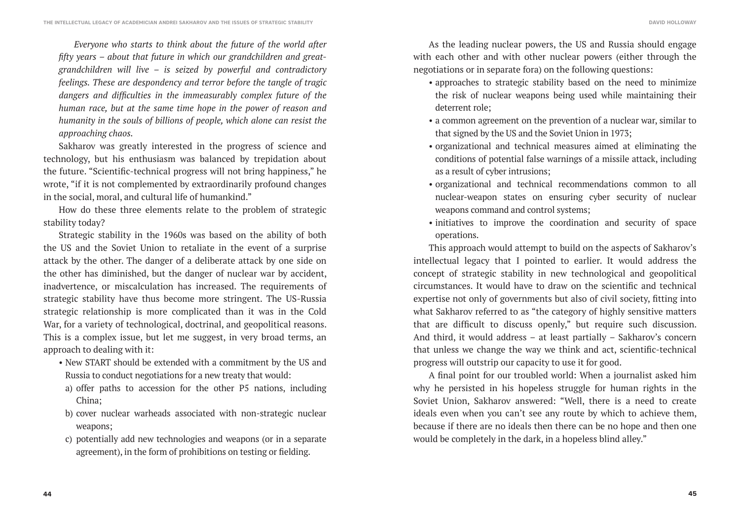*Everyone who starts to think about the future of the world after fifty years – about that future in which our grandchildren and greatgrandchildren will live – is seized by powerful and contradictory feelings. These are despondency and terror before the tangle of tragic dangers and difficulties in the immeasurably complex future of the human race, but at the same time hope in the power of reason and humanity in the souls of billions of people, which alone can resist the approaching chaos.*

Sakharov was greatly interested in the progress of science and technology, but his enthusiasm was balanced by trepidation about the future. "Scientific-technical progress will not bring happiness," he wrote, "if it is not complemented by extraordinarily profound changes in the social, moral, and cultural life of humankind."

How do these three elements relate to the problem of strategic stability today?

Strategic stability in the 1960s was based on the ability of both the US and the Soviet Union to retaliate in the event of a surprise attack by the other. The danger of a deliberate attack by one side on the other has diminished, but the danger of nuclear war by accident, inadvertence, or miscalculation has increased. The requirements of strategic stability have thus become more stringent. The US-Russia strategic relationship is more complicated than it was in the Cold War, for a variety of technological, doctrinal, and geopolitical reasons. This is a complex issue, but let me suggest, in very broad terms, an approach to dealing with it:

- New START should be extended with a commitment by the US and Russia to conduct negotiations for a new treaty that would:
- a) offer paths to accession for the other P5 nations, including China;
- b) cover nuclear warheads associated with non-strategic nuclear weapons;
- c) potentially add new technologies and weapons (or in a separate agreement), in the form of prohibitions on testing or fielding.

As the leading nuclear powers, the US and Russia should engage with each other and with other nuclear powers (either through the negotiations or in separate fora) on the following questions:

- approaches to strategic stability based on the need to minimize the risk of nuclear weapons being used while maintaining their deterrent role;
- a common agreement on the prevention of a nuclear war, similar to that signed by the US and the Soviet Union in 1973;
- organizational and technical measures aimed at eliminating the conditions of potential false warnings of a missile attack, including as a result of cyber intrusions;
- organizational and technical recommendations common to all nuclear-weapon states on ensuring cyber security of nuclear weapons command and control systems;
- initiatives to improve the coordination and security of space operations.

This approach would attempt to build on the aspects of Sakharov's intellectual legacy that I pointed to earlier. It would address the concept of strategic stability in new technological and geopolitical circumstances. It would have to draw on the scientific and technical expertise not only of governments but also of civil society, fitting into what Sakharov referred to as "the category of highly sensitive matters that are difficult to discuss openly," but require such discussion. And third, it would address – at least partially – Sakharov's concern that unless we change the way we think and act, scientific-technical progress will outstrip our capacity to use it for good.

A final point for our troubled world: When a journalist asked him why he persisted in his hopeless struggle for human rights in the Soviet Union, Sakharov answered: "Well, there is a need to create ideals even when you can't see any route by which to achieve them, because if there are no ideals then there can be no hope and then one would be completely in the dark, in a hopeless blind alley."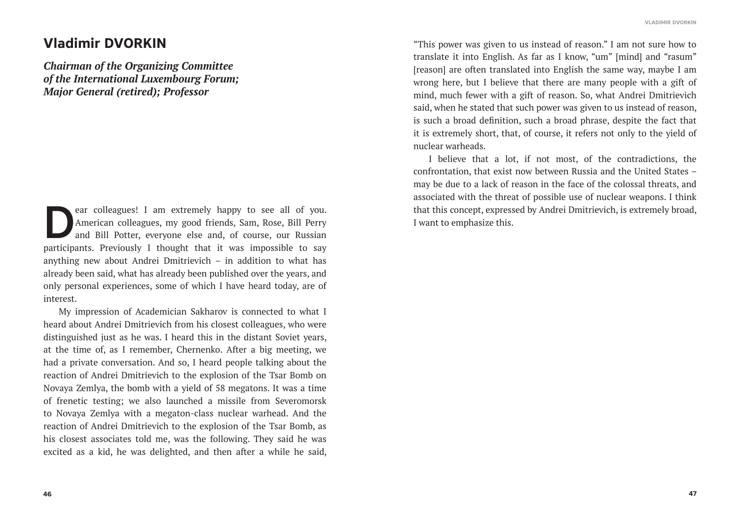#### **VLADIMIR DVORKIN**

## **Vladimir DVORKIN**

*Chairman of the Organizing Committee of the International Luxembourg Forum; Major General (retired); Professor*

ear colleagues! I am extremely happy to see all of you.<br>American colleagues, my good friends, Sam, Rose, Bill Perry<br>and Bill Potter, everyone else and, of course, our Russian<br>porticipants. Proviously, I thought that it was American colleagues, my good friends, Sam, Rose, Bill Perry and Bill Potter, everyone else and, of course, our Russian participants. Previously I thought that it was impossible to say anything new about Andrei Dmitrievich – in addition to what has already been said, what has already been published over the years, and only personal experiences, some of which I have heard today, are of interest.

My impression of Academician Sakharov is connected to what I heard about Andrei Dmitrievich from his closest colleagues, who were distinguished just as he was. I heard this in the distant Soviet years, at the time of, as I remember, Chernenko. After a big meeting, we had a private conversation. And so, I heard people talking about the reaction of Andrei Dmitrievich to the explosion of the Tsar Bomb on Novaya Zemlya, the bomb with a yield of 58 megatons. It was a time of frenetic testing; we also launched a missile from Severomorsk to Novaya Zemlya with a megaton-class nuclear warhead. And the reaction of Andrei Dmitrievich to the explosion of the Tsar Bomb, as his closest associates told me, was the following. They said he was excited as a kid, he was delighted, and then after a while he said,

"This power was given to us instead of reason." I am not sure how to translate it into English. As far as I know, "um" [mind] and "rasum" [reason] are often translated into English the same way, maybe I am wrong here, but I believe that there are many people with a gift of mind, much fewer with a gift of reason. So, what Andrei Dmitrievich said, when he stated that such power was given to us instead of reason, is such a broad definition, such a broad phrase, despite the fact that it is extremely short, that, of course, it refers not only to the yield of nuclear warheads.

I believe that a lot, if not most, of the contradictions, the confrontation, that exist now between Russia and the United States – may be due to a lack of reason in the face of the colossal threats, and associated with the threat of possible use of nuclear weapons. I think that this concept, expressed by Andrei Dmitrievich, is extremely broad, I want to emphasize this.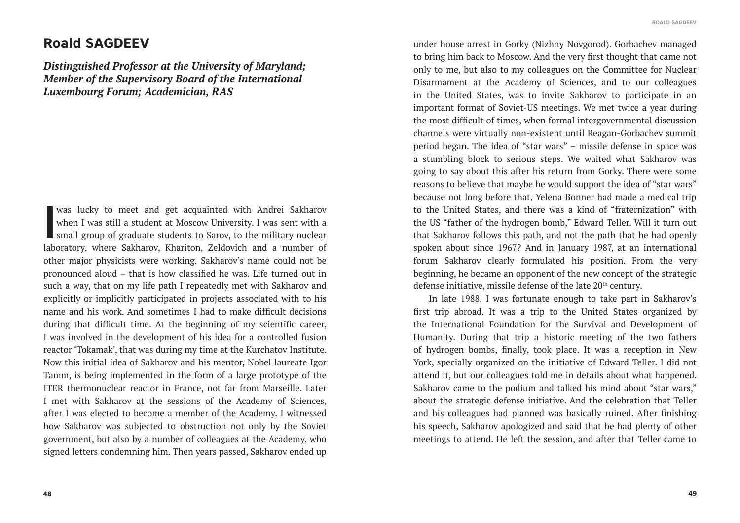#### **ROALD SAGDEEV**

### **Roald SAGDEEV**

*Distinguished Professor at the University of Maryland; Member of the Supervisory Board of the International Luxembourg Forum; Academician, RAS*

was lucky to meet and get acquainted with Andrei Sakharov when I was still a student at Moscow University. I was sent with a small group of graduate students to Sarov, to the military nuclear laboratory, where Sakharov, Kh when I was still a student at Moscow University. I was sent with a small group of graduate students to Sarov, to the military nuclear laboratory, where Sakharov, Khariton, Zeldovich and a number of other major physicists were working. Sakharov's name could not be pronounced aloud – that is how classified he was. Life turned out in such a way, that on my life path I repeatedly met with Sakharov and explicitly or implicitly participated in projects associated with to his name and his work. And sometimes I had to make difficult decisions during that difficult time. At the beginning of my scientific career, I was involved in the development of his idea for a controlled fusion reactor 'Tokamak', that was during my time at the Kurchatov Institute. Now this initial idea of Sakharov and his mentor, Nobel laureate Igor Tamm, is being implemented in the form of a large prototype of the ITER thermonuclear reactor in France, not far from Marseille. Later I met with Sakharov at the sessions of the Academy of Sciences, after I was elected to become a member of the Academy. I witnessed how Sakharov was subjected to obstruction not only by the Soviet government, but also by a number of colleagues at the Academy, who signed letters condemning him. Then years passed, Sakharov ended up

under house arrest in Gorky (Nizhny Novgorod). Gorbachev managed to bring him back to Moscow. And the very first thought that came not only to me, but also to my colleagues on the Committee for Nuclear Disarmament at the Academy of Sciences, and to our colleagues in the United States, was to invite Sakharov to participate in an important format of Soviet-US meetings. We met twice a year during the most difficult of times, when formal intergovernmental discussion channels were virtually non-existent until Reagan-Gorbachev summit period began. The idea of "star wars" – missile defense in space was a stumbling block to serious steps. We waited what Sakharov was going to say about this after his return from Gorky. There were some reasons to believe that maybe he would support the idea of "star wars" because not long before that, Yelena Bonner had made a medical trip to the United States, and there was a kind of "fraternization" with the US "father of the hydrogen bomb," Edward Teller. Will it turn out that Sakharov follows this path, and not the path that he had openly spoken about since 1967? And in January 1987, at an international forum Sakharov clearly formulated his position. From the very beginning, he became an opponent of the new concept of the strategic defense initiative, missile defense of the late 20<sup>th</sup> century.

In late 1988, I was fortunate enough to take part in Sakharov's first trip abroad. It was a trip to the United States organized by the International Foundation for the Survival and Development of Humanity. During that trip a historic meeting of the two fathers of hydrogen bombs, finally, took place. It was a reception in New York, specially organized on the initiative of Edward Teller. I did not attend it, but our colleagues told me in details about what happened. Sakharov came to the podium and talked his mind about "star wars," about the strategic defense initiative. And the celebration that Teller and his colleagues had planned was basically ruined. After finishing his speech, Sakharov apologized and said that he had plenty of other meetings to attend. He left the session, and after that Teller came to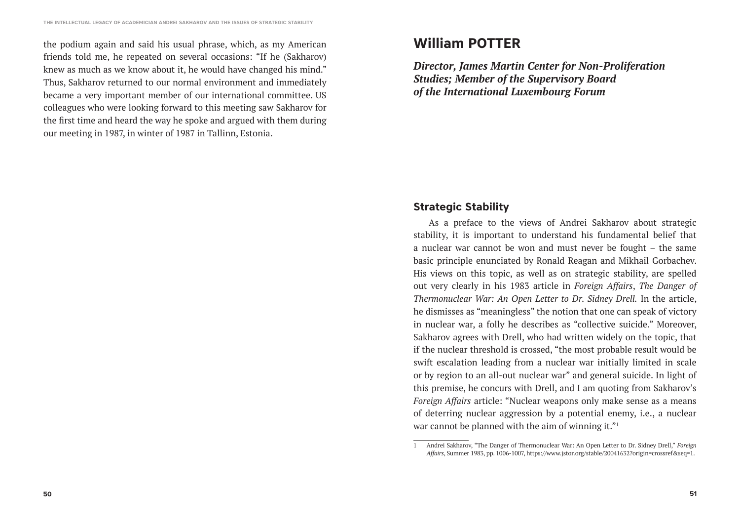the podium again and said his usual phrase, which, as my American friends told me, he repeated on several occasions: "If he (Sakharov) knew as much as we know about it, he would have changed his mind." Thus, Sakharov returned to our normal environment and immediately became a very important member of our international committee. US colleagues who were looking forward to this meeting saw Sakharov for the first time and heard the way he spoke and argued with them during our meeting in 1987, in winter of 1987 in Tallinn, Estonia.

# **William POTTER**

*Director, James Martin Center for Non-Proliferation Studies; Member of the Supervisory Board of the International Luxembourg Forum*

### **Strategic Stability**

As a preface to the views of Andrei Sakharov about strategic stability, it is important to understand his fundamental belief that a nuclear war cannot be won and must never be fought – the same basic principle enunciated by Ronald Reagan and Mikhail Gorbachev. His views on this topic, as well as on strategic stability, are spelled out very clearly in his 1983 article in *Foreign Affairs*, *The Danger of Thermonuclear War: An Open Letter to Dr. Sidney Drell.* In the article, he dismisses as "meaningless" the notion that one can speak of victory in nuclear war, a folly he describes as "collective suicide." Moreover, Sakharov agrees with Drell, who had written widely on the topic, that if the nuclear threshold is crossed, "the most probable result would be swift escalation leading from a nuclear war initially limited in scale or by region to an all-out nuclear war" and general suicide. In light of this premise, he concurs with Drell, and I am quoting from Sakharov's *Foreign Affairs* article: "Nuclear weapons only make sense as a means of deterring nuclear aggression by a potential enemy, i.e., a nuclear war cannot be planned with the aim of winning it."<sup>1</sup>

<sup>1</sup> Andrei Sakharov, "The Danger of Thermonuclear War: An Open Letter to Dr. Sidney Drell," *Foreign Affairs*, Summer 1983, pp. 1006-1007, https://www.jstor.org/stable/20041632?origin=crossref&seq=1.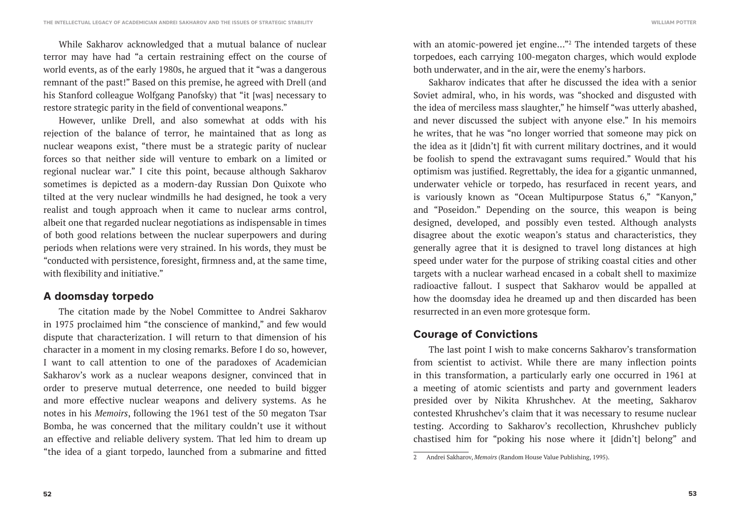While Sakharov acknowledged that a mutual balance of nuclear terror may have had "a certain restraining effect on the course of world events, as of the early 1980s, he argued that it "was a dangerous remnant of the past!" Based on this premise, he agreed with Drell (and his Stanford colleague Wolfgang Panofsky) that "it [was] necessary to restore strategic parity in the field of conventional weapons."

However, unlike Drell, and also somewhat at odds with his rejection of the balance of terror, he maintained that as long as nuclear weapons exist, "there must be a strategic parity of nuclear forces so that neither side will venture to embark on a limited or regional nuclear war." I cite this point, because although Sakharov sometimes is depicted as a modern-day Russian Don Quixote who tilted at the very nuclear windmills he had designed, he took a very realist and tough approach when it came to nuclear arms control, albeit one that regarded nuclear negotiations as indispensable in times of both good relations between the nuclear superpowers and during periods when relations were very strained. In his words, they must be "conducted with persistence, foresight, firmness and, at the same time, with flexibility and initiative."

### **A doomsday torpedo**

The citation made by the Nobel Committee to Andrei Sakharov in 1975 proclaimed him "the conscience of mankind," and few would dispute that characterization. I will return to that dimension of his character in a moment in my closing remarks. Before I do so, however, I want to call attention to one of the paradoxes of Academician Sakharov's work as a nuclear weapons designer, convinced that in order to preserve mutual deterrence, one needed to build bigger and more effective nuclear weapons and delivery systems. As he notes in his *Memoirs*, following the 1961 test of the 50 megaton Tsar Bomba, he was concerned that the military couldn't use it without an effective and reliable delivery system. That led him to dream up "the idea of a giant torpedo, launched from a submarine and fitted

with an atomic-powered jet engine…"2 The intended targets of these torpedoes, each carrying 100-megaton charges, which would explode both underwater, and in the air, were the enemy's harbors.

Sakharov indicates that after he discussed the idea with a senior Soviet admiral, who, in his words, was "shocked and disgusted with the idea of merciless mass slaughter," he himself "was utterly abashed, and never discussed the subject with anyone else." In his memoirs he writes, that he was "no longer worried that someone may pick on the idea as it [didn't] fit with current military doctrines, and it would be foolish to spend the extravagant sums required." Would that his optimism was justified. Regrettably, the idea for a gigantic unmanned, underwater vehicle or torpedo, has resurfaced in recent years, and is variously known as "Ocean Multipurpose Status 6," "Kanyon," and "Poseidon." Depending on the source, this weapon is being designed, developed, and possibly even tested. Although analysts disagree about the exotic weapon's status and characteristics, they generally agree that it is designed to travel long distances at high speed under water for the purpose of striking coastal cities and other targets with a nuclear warhead encased in a cobalt shell to maximize radioactive fallout. I suspect that Sakharov would be appalled at how the doomsday idea he dreamed up and then discarded has been resurrected in an even more grotesque form.

### **Courage of Convictions**

The last point I wish to make concerns Sakharov's transformation from scientist to activist. While there are many inflection points in this transformation, a particularly early one occurred in 1961 at a meeting of atomic scientists and party and government leaders presided over by Nikita Khrushchev. At the meeting, Sakharov contested Khrushchev's claim that it was necessary to resume nuclear testing. According to Sakharov's recollection, Khrushchev publicly chastised him for "poking his nose where it [didn't] belong" and

<sup>2</sup> Andrei Sakharov, *Memoirs* (Random House Value Publishing, 1995).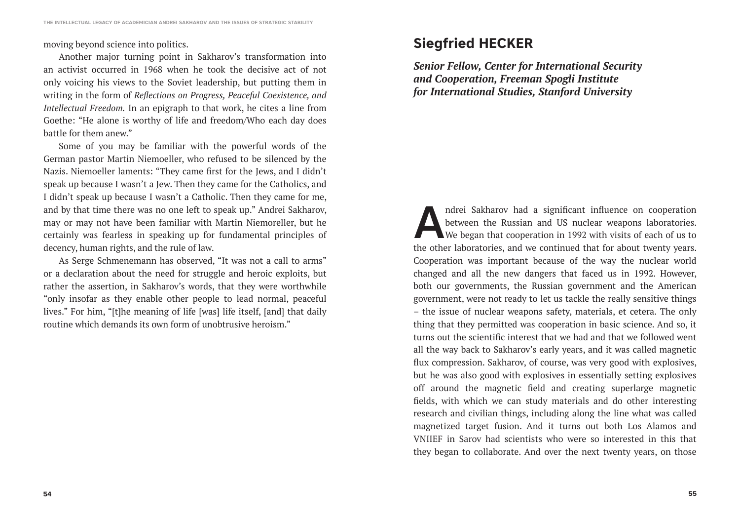### moving beyond science into politics.

Another major turning point in Sakharov's transformation into an activist occurred in 1968 when he took the decisive act of not only voicing his views to the Soviet leadership, but putting them in writing in the form of *Reflections on Progress, Peaceful Coexistence, and Intellectual Freedom.* In an epigraph to that work, he cites a line from Goethe: "He alone is worthy of life and freedom/Who each day does battle for them anew."

Some of you may be familiar with the powerful words of the German pastor Martin Niemoeller, who refused to be silenced by the Nazis. Niemoeller laments: "They came first for the Jews, and I didn't speak up because I wasn't a Jew. Then they came for the Catholics, and I didn't speak up because I wasn't a Catholic. Then they came for me, and by that time there was no one left to speak up." Andrei Sakharov, may or may not have been familiar with Martin Niemoreller, but he certainly was fearless in speaking up for fundamental principles of decency, human rights, and the rule of law.

As Serge Schmenemann has observed, "It was not a call to arms" or a declaration about the need for struggle and heroic exploits, but rather the assertion, in Sakharov's words, that they were worthwhile "only insofar as they enable other people to lead normal, peaceful lives." For him, "[t]he meaning of life [was] life itself, [and] that daily routine which demands its own form of unobtrusive heroism."

# **Siegfried HECKER**

*Senior Fellow, Center for International Security and Cooperation, Freeman Spogli Institute for International Studies, Stanford University*

ndrei Sakharov had a significant influence on cooperation<br>between the Russian and US nuclear weapons laboratories.<br>We began that cooperation in 1992 with visits of each of us to<br>the other laboratories, and we continued tha between the Russian and US nuclear weapons laboratories. We began that cooperation in 1992 with visits of each of us to the other laboratories, and we continued that for about twenty years. Cooperation was important because of the way the nuclear world changed and all the new dangers that faced us in 1992. However, both our governments, the Russian government and the American government, were not ready to let us tackle the really sensitive things – the issue of nuclear weapons safety, materials, et cetera. The only thing that they permitted was cooperation in basic science. And so, it turns out the scientific interest that we had and that we followed went all the way back to Sakharov's early years, and it was called magnetic flux compression. Sakharov, of course, was very good with explosives, but he was also good with explosives in essentially setting explosives off around the magnetic field and creating superlarge magnetic fields, with which we can study materials and do other interesting research and civilian things, including along the line what was called magnetized target fusion. And it turns out both Los Alamos and VNIIEF in Sarov had scientists who were so interested in this that they began to collaborate. And over the next twenty years, on those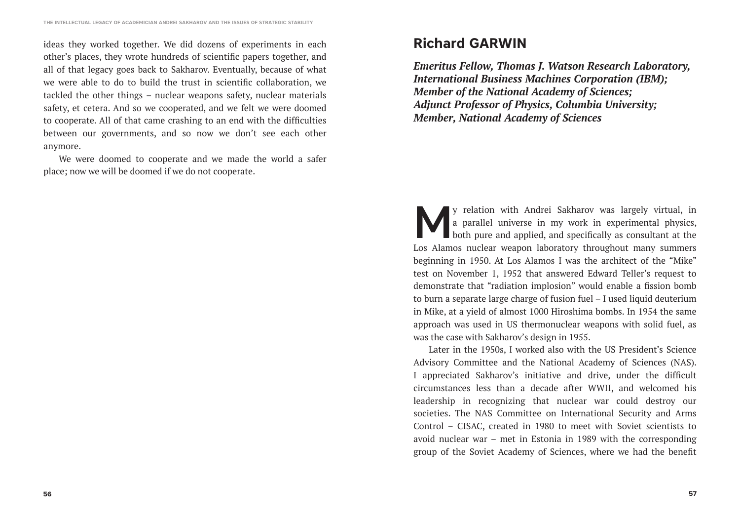ideas they worked together. We did dozens of experiments in each other's places, they wrote hundreds of scientific papers together, and all of that legacy goes back to Sakharov. Eventually, because of what we were able to do to build the trust in scientific collaboration, we tackled the other things – nuclear weapons safety, nuclear materials safety, et cetera. And so we cooperated, and we felt we were doomed to cooperate. All of that came crashing to an end with the difficulties between our governments, and so now we don't see each other anymore.

We were doomed to cooperate and we made the world a safer place; now we will be doomed if we do not cooperate.

# **Richard GARWIN**

*Emeritus Fellow, Thomas J. Watson Research Laboratory, International Business Machines Corporation (IBM); Member of the National Academy of Sciences; Adjunct Professor of Physics, Columbia University; Member, National Academy of Sciences*

**My** relation with Andrei Sakharov was largely virtual, in a parallel universe in my work in experimental physics, both pure and applied, and specifically as consultant at the Let Alamos nuclear weapon laboratory throughou a parallel universe in my work in experimental physics, **both pure and applied, and specifically as consultant at the** Los Alamos nuclear weapon laboratory throughout many summers beginning in 1950. At Los Alamos I was the architect of the "Mike" test on November 1, 1952 that answered Edward Teller's request to demonstrate that "radiation implosion" would enable a fission bomb to burn a separate large charge of fusion fuel – I used liquid deuterium in Mike, at a yield of almost 1000 Hiroshima bombs. In 1954 the same approach was used in US thermonuclear weapons with solid fuel, as was the case with Sakharov's design in 1955.

Later in the 1950s, I worked also with the US President's Science Advisory Committee and the National Academy of Sciences (NAS). I appreciated Sakharov's initiative and drive, under the difficult circumstances less than a decade after WWII, and welcomed his leadership in recognizing that nuclear war could destroy our societies. The NAS Committee on International Security and Arms Control – CISAC, created in 1980 to meet with Soviet scientists to avoid nuclear war – met in Estonia in 1989 with the corresponding group of the Soviet Academy of Sciences, where we had the benefit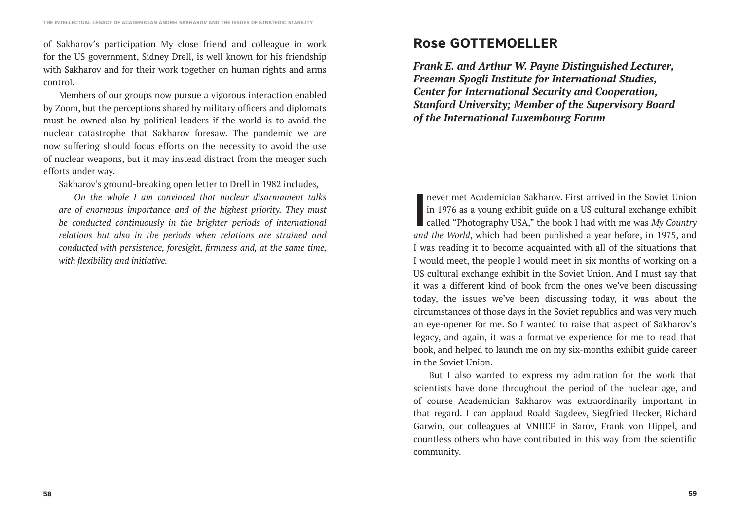of Sakharov's participation My close friend and colleague in work for the US government, Sidney Drell, is well known for his friendship with Sakharov and for their work together on human rights and arms control.

Members of our groups now pursue a vigorous interaction enabled by Zoom, but the perceptions shared by military officers and diplomats must be owned also by political leaders if the world is to avoid the nuclear catastrophe that Sakharov foresaw. The pandemic we are now suffering should focus efforts on the necessity to avoid the use of nuclear weapons, but it may instead distract from the meager such efforts under way.

Sakharov's ground-breaking open letter to Drell in 1982 includes*,*

*On the whole I am convinced that nuclear disarmament talks are of enormous importance and of the highest priority. They must be conducted continuously in the brighter periods of international relations but also in the periods when relations are strained and conducted with persistence, foresight, firmness and, at the same time, with flexibility and initiative.*

# **Rose GOTTEMOELLER**

*Frank E. and Arthur W. Payne Distinguished Lecturer, Freeman Spogli Institute for International Studies, Center for International Security and Cooperation, Stanford University; Member of the Supervisory Board of the International Luxembourg Forum*

I never met Academician Sakharov. First arrived in the Soviet Union<br>in 1976 as a young exhibit guide on a US cultural exchange exhibit<br>called "Photography USA," the book I had with me was My Country<br>and the World which had in 1976 as a young exhibit guide on a US cultural exchange exhibit called "Photography USA," the book I had with me was *My Country and the World*, which had been published a year before, in 1975, and I was reading it to become acquainted with all of the situations that I would meet, the people I would meet in six months of working on a US cultural exchange exhibit in the Soviet Union. And I must say that it was a different kind of book from the ones we've been discussing today, the issues we've been discussing today, it was about the circumstances of those days in the Soviet republics and was very much an eye-opener for me. So I wanted to raise that aspect of Sakharov's legacy, and again, it was a formative experience for me to read that book, and helped to launch me on my six-months exhibit guide career in the Soviet Union.

But I also wanted to express my admiration for the work that scientists have done throughout the period of the nuclear age, and of course Academician Sakharov was extraordinarily important in that regard. I can applaud Roald Sagdeev, Siegfried Hecker, Richard Garwin, our colleagues at VNIIEF in Sarov, Frank von Hippel, and countless others who have contributed in this way from the scientific community.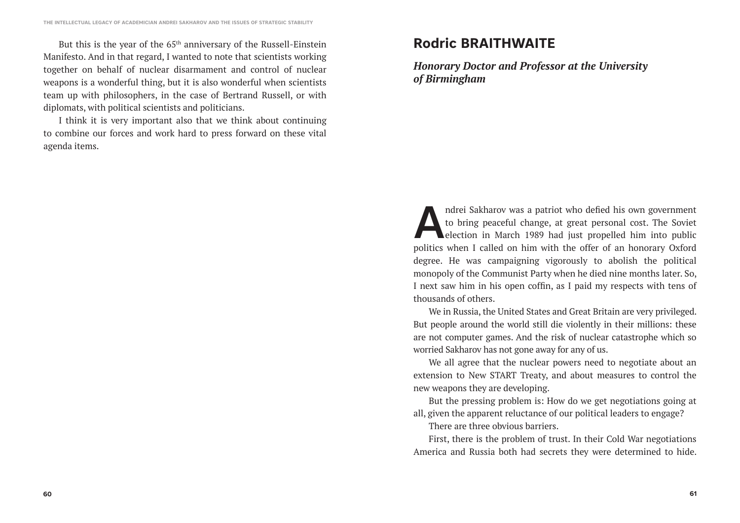But this is the year of the 65<sup>th</sup> anniversary of the Russell-Einstein Manifesto. And in that regard, I wanted to note that scientists working together on behalf of nuclear disarmament and control of nuclear weapons is a wonderful thing, but it is also wonderful when scientists team up with philosophers, in the case of Bertrand Russell, or with diplomats, with political scientists and politicians.

I think it is very important also that we think about continuing to combine our forces and work hard to press forward on these vital agenda items.

# **Rodric BRAITHWAITE**

*Honorary Doctor and Professor at the University of Birmingham*

ndrei Sakharov was a patriot who defied his own government<br>to bring peaceful change, at great personal cost. The Soviet<br>election in March 1989 had just propelled him into public<br>politics when Levelled on him with the offer to bring peaceful change, at great personal cost. The Soviet election in March 1989 had just propelled him into public politics when I called on him with the offer of an honorary Oxford degree. He was campaigning vigorously to abolish the political monopoly of the Communist Party when he died nine months later. So, I next saw him in his open coffin, as I paid my respects with tens of thousands of others.

We in Russia, the United States and Great Britain are very privileged. But people around the world still die violently in their millions: these are not computer games. And the risk of nuclear catastrophe which so worried Sakharov has not gone away for any of us.

We all agree that the nuclear powers need to negotiate about an extension to New START Treaty, and about measures to control the new weapons they are developing.

But the pressing problem is: How do we get negotiations going at all, given the apparent reluctance of our political leaders to engage?

There are three obvious barriers.

First, there is the problem of trust. In their Cold War negotiations America and Russia both had secrets they were determined to hide.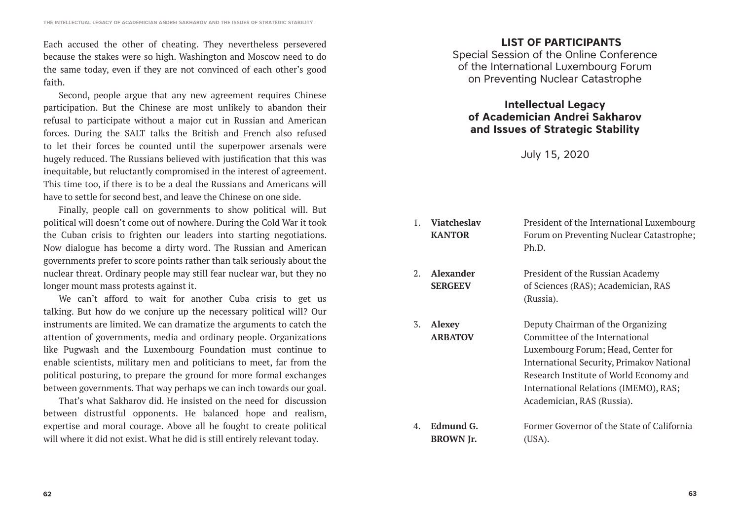Each accused the other of cheating. They nevertheless persevered because the stakes were so high. Washington and Moscow need to do the same today, even if they are not convinced of each other's good faith.

Second, people argue that any new agreement requires Chinese participation. But the Chinese are most unlikely to abandon their refusal to participate without a major cut in Russian and American forces. During the SALT talks the British and French also refused to let their forces be counted until the superpower arsenals were hugely reduced. The Russians believed with justification that this was inequitable, but reluctantly compromised in the interest of agreement. This time too, if there is to be a deal the Russians and Americans will have to settle for second best, and leave the Chinese on one side.

Finally, people call on governments to show political will. But political will doesn't come out of nowhere. During the Cold War it took the Cuban crisis to frighten our leaders into starting negotiations. Now dialogue has become a dirty word. The Russian and American governments prefer to score points rather than talk seriously about the nuclear threat. Ordinary people may still fear nuclear war, but they no longer mount mass protests against it.

We can't afford to wait for another Cuba crisis to get us talking. But how do we conjure up the necessary political will? Our instruments are limited. We can dramatize the arguments to catch the attention of governments, media and ordinary people. Organizations like Pugwash and the Luxembourg Foundation must continue to enable scientists, military men and politicians to meet, far from the political posturing, to prepare the ground for more formal exchanges between governments. That way perhaps we can inch towards our goal.

That's what Sakharov did. He insisted on the need for discussion between distrustful opponents. He balanced hope and realism, expertise and moral courage. Above all he fought to create political will where it did not exist. What he did is still entirely relevant today.

### **LIST OF PARTICIPANTS**

Special Session of the Online Conference of the International Luxembourg Forum on Preventing Nuclear Catastrophe

### **Intellectual Legacy of Academician Andrei Sakharov and Issues of Strategic Stability**

July 15, 2020

- 1. **Viatcheslav KANTOR** President of the International Luxembourg Forum on Preventing Nuclear Catastrophe; Ph.D.
- 2. **Alexander SERGEEV**

3. **Alexey ARBATOV**

- 
- President of the Russian Academy of Sciences (RAS); Academician, RAS (Russia).
- Deputy Chairman of the Organizing Committee of the International Luxembourg Forum; Head, Center for International Security, Primakov National Research Institute of World Economy and International Relations (IMEMO), RAS; Academician, RAS (Russia).
- 4. **Edmund G. BROWN Jr.** Former Governor of the State of California (USA).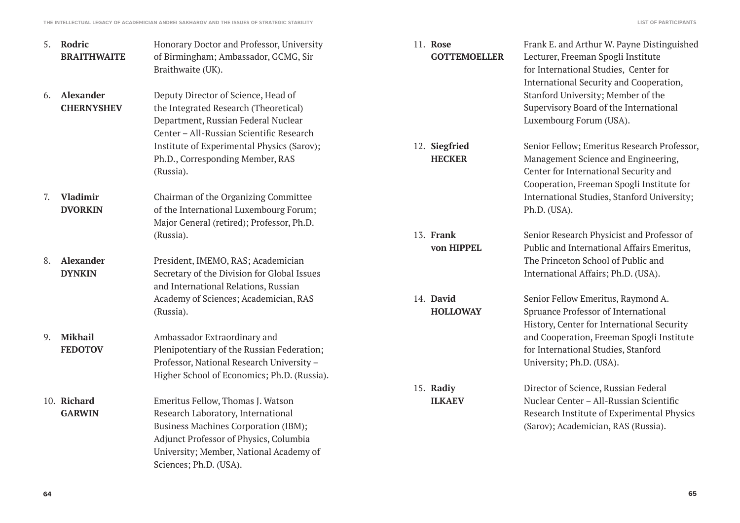| 5. | Rodric<br><b>BRAITHWAITE</b>          | Honorary Doctor and Professor, University<br>of Birmingham; Ambassador, GCMG, Sir<br>Braithwaite (UK).                                                                                                                                | 11. Rose<br><b>GOTTEMOELLER</b> | Frank E. and Arthur W. Payne Distinguished<br>Lecturer, Freeman Spogli Institute<br>for International Studies, Center for<br>International Security and Cooperation,     |
|----|---------------------------------------|---------------------------------------------------------------------------------------------------------------------------------------------------------------------------------------------------------------------------------------|---------------------------------|--------------------------------------------------------------------------------------------------------------------------------------------------------------------------|
| 6. | <b>Alexander</b><br><b>CHERNYSHEV</b> | Deputy Director of Science, Head of<br>the Integrated Research (Theoretical)<br>Department, Russian Federal Nuclear<br>Center - All-Russian Scientific Research                                                                       |                                 | Stanford University; Member of the<br>Supervisory Board of the International<br>Luxembourg Forum (USA).                                                                  |
|    |                                       | Institute of Experimental Physics (Sarov);<br>Ph.D., Corresponding Member, RAS<br>(Russia).                                                                                                                                           | 12. Siegfried<br><b>HECKER</b>  | Senior Fellow; Emeritus Research Professor,<br>Management Science and Engineering,<br>Center for International Security and<br>Cooperation, Freeman Spogli Institute for |
| 7. | <b>Vladimir</b><br><b>DVORKIN</b>     | Chairman of the Organizing Committee<br>of the International Luxembourg Forum;<br>Major General (retired); Professor, Ph.D.                                                                                                           |                                 | International Studies, Stanford University;<br>Ph.D. (USA).                                                                                                              |
|    |                                       | (Russia).                                                                                                                                                                                                                             | 13. Frank<br>von HIPPEL         | Senior Research Physicist and Professor of<br>Public and International Affairs Emeritus,                                                                                 |
| 8. | Alexander<br><b>DYNKIN</b>            | President, IMEMO, RAS; Academician<br>Secretary of the Division for Global Issues<br>and International Relations, Russian                                                                                                             |                                 | The Princeton School of Public and<br>International Affairs; Ph.D. (USA).                                                                                                |
|    |                                       | Academy of Sciences; Academician, RAS<br>(Russia).                                                                                                                                                                                    | 14. David<br><b>HOLLOWAY</b>    | Senior Fellow Emeritus, Raymond A.<br>Spruance Professor of International<br>History, Center for International Security                                                  |
| 9. | <b>Mikhail</b><br><b>FEDOTOV</b>      | Ambassador Extraordinary and<br>Plenipotentiary of the Russian Federation;<br>Professor, National Research University -<br>Higher School of Economics; Ph.D. (Russia).                                                                |                                 | and Cooperation, Freeman Spogli Institute<br>for International Studies, Stanford<br>University; Ph.D. (USA).                                                             |
|    |                                       |                                                                                                                                                                                                                                       | 15. Radiy                       | Director of Science, Russian Federal                                                                                                                                     |
|    | 10. Richard<br><b>GARWIN</b>          | Emeritus Fellow, Thomas J. Watson<br>Research Laboratory, International<br><b>Business Machines Corporation (IBM);</b><br>Adjunct Professor of Physics, Columbia<br>University; Member, National Academy of<br>Sciences; Ph.D. (USA). | <b>ILKAEV</b>                   | Nuclear Center - All-Russian Scientific<br>Research Institute of Experimental Physics<br>(Sarov); Academician, RAS (Russia).                                             |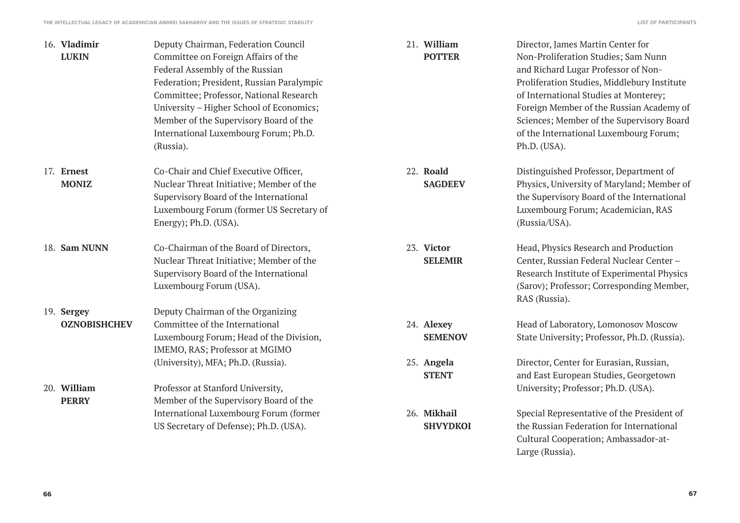| 16. Vladimir<br><b>LUKIN</b>      | Deputy Chairman, Federation Council<br>Committee on Foreign Affairs of the<br>Federal Assembly of the Russian<br>Federation; President, Russian Paralympic<br>Committee; Professor, National Research<br>University - Higher School of Economics;<br>Member of the Supervisory Board of the<br>International Luxembourg Forum; Ph.D.<br>(Russia). | 21. William<br><b>POTTER</b>   | Director, James Martin Center for<br>Non-Proliferation Studies; Sam Nunn<br>and Richard Lugar Professor of Non-<br>Proliferation Studies, Middlebury Institute<br>of International Studies at Monterey;<br>Foreign Member of the Russian Academy of<br>Sciences; Member of the Supervisory Board<br>of the International Luxembourg Forum;<br>Ph.D. (USA). |
|-----------------------------------|---------------------------------------------------------------------------------------------------------------------------------------------------------------------------------------------------------------------------------------------------------------------------------------------------------------------------------------------------|--------------------------------|------------------------------------------------------------------------------------------------------------------------------------------------------------------------------------------------------------------------------------------------------------------------------------------------------------------------------------------------------------|
| 17. Ernest<br><b>MONIZ</b>        | Co-Chair and Chief Executive Officer,<br>Nuclear Threat Initiative; Member of the<br>Supervisory Board of the International<br>Luxembourg Forum (former US Secretary of<br>Energy); Ph.D. (USA).                                                                                                                                                  | 22. Roald<br><b>SAGDEEV</b>    | Distinguished Professor, Department of<br>Physics, University of Maryland; Member of<br>the Supervisory Board of the International<br>Luxembourg Forum; Academician, RAS<br>(Russia/USA).                                                                                                                                                                  |
| 18. Sam NUNN                      | Co-Chairman of the Board of Directors,<br>Nuclear Threat Initiative; Member of the<br>Supervisory Board of the International<br>Luxembourg Forum (USA).                                                                                                                                                                                           | 23. Victor<br><b>SELEMIR</b>   | Head, Physics Research and Production<br>Center, Russian Federal Nuclear Center -<br>Research Institute of Experimental Physics<br>(Sarov); Professor; Corresponding Member,<br>RAS (Russia).                                                                                                                                                              |
| 19. Sergey<br><b>OZNOBISHCHEV</b> | Deputy Chairman of the Organizing<br>Committee of the International<br>Luxembourg Forum; Head of the Division,<br>IMEMO, RAS; Professor at MGIMO                                                                                                                                                                                                  | 24. Alexey<br><b>SEMENOV</b>   | Head of Laboratory, Lomonosov Moscow<br>State University; Professor, Ph.D. (Russia).                                                                                                                                                                                                                                                                       |
| 20. William<br><b>PERRY</b>       | (University), MFA; Ph.D. (Russia).<br>Professor at Stanford University,<br>Member of the Supervisory Board of the                                                                                                                                                                                                                                 | 25. Angela<br><b>STENT</b>     | Director, Center for Eurasian, Russian,<br>and East European Studies, Georgetown<br>University; Professor; Ph.D. (USA).                                                                                                                                                                                                                                    |
|                                   | International Luxembourg Forum (former<br>US Secretary of Defense); Ph.D. (USA).                                                                                                                                                                                                                                                                  | 26. Mikhail<br><b>SHVYDKOI</b> | Special Representative of the President of<br>the Russian Federation for International<br>Cultural Cooperation; Ambassador-at-                                                                                                                                                                                                                             |

Large (Russia).